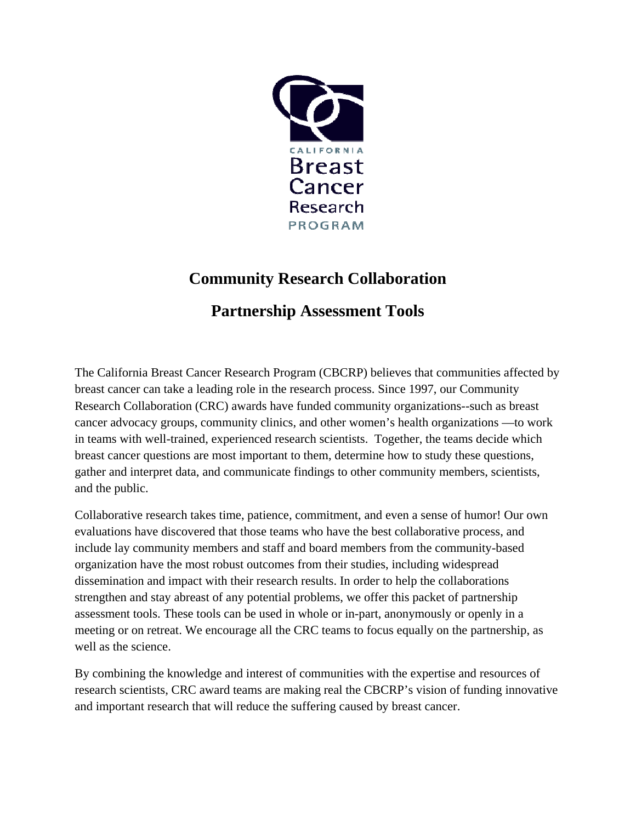

# **Community Research Collaboration**

# **Partnership Assessment Tools**

The California Breast Cancer Research Program (CBCRP) believes that communities affected by breast cancer can take a leading role in the research process. Since 1997, our Community Research Collaboration (CRC) awards have funded community organizations--such as breast cancer advocacy groups, community clinics, and other women's health organizations —to work in teams with well-trained, experienced research scientists. Together, the teams decide which breast cancer questions are most important to them, determine how to study these questions, gather and interpret data, and communicate findings to other community members, scientists, and the public.

Collaborative research takes time, patience, commitment, and even a sense of humor! Our own evaluations have discovered that those teams who have the best collaborative process, and include lay community members and staff and board members from the community-based organization have the most robust outcomes from their studies, including widespread dissemination and impact with their research results. In order to help the collaborations strengthen and stay abreast of any potential problems, we offer this packet of partnership assessment tools. These tools can be used in whole or in-part, anonymously or openly in a meeting or on retreat. We encourage all the CRC teams to focus equally on the partnership, as well as the science.

By combining the knowledge and interest of communities with the expertise and resources of research scientists, CRC award teams are making real the CBCRP's vision of funding innovative and important research that will reduce the suffering caused by breast cancer.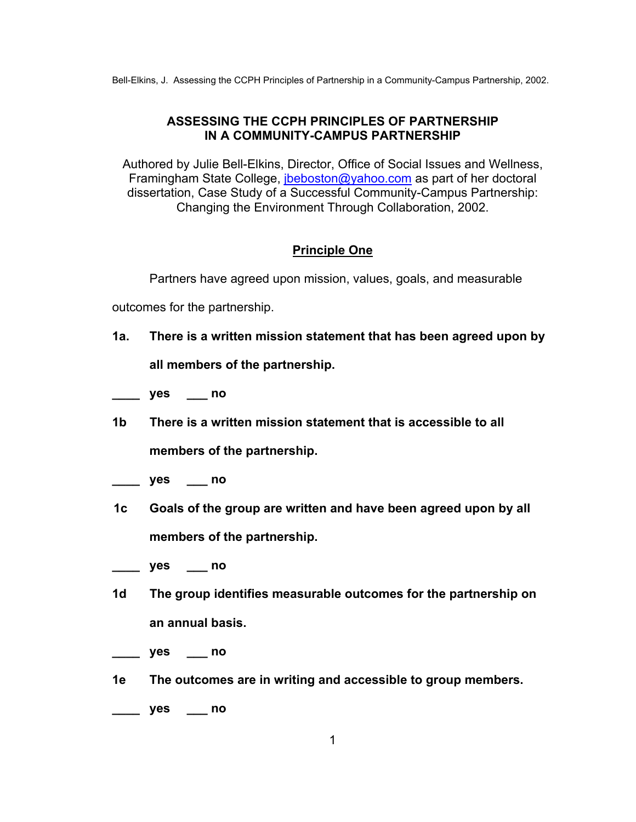## **ASSESSING THE CCPH PRINCIPLES OF PARTNERSHIP IN A COMMUNITY-CAMPUS PARTNERSHIP**

Authored by Julie Bell-Elkins, Director, Office of Social Issues and Wellness, Framingham State College, *jbeboston@yahoo.com* as part of her doctoral dissertation, Case Study of a Successful Community-Campus Partnership: Changing the Environment Through Collaboration, 2002.

# **Principle One**

Partners have agreed upon mission, values, goals, and measurable

outcomes for the partnership.

**1a. There is a written mission statement that has been agreed upon by** 

**all members of the partnership.** 

**\_\_\_\_ yes \_\_\_ no** 

- **1b There is a written mission statement that is accessible to all members of the partnership.**
- **\_\_\_\_ yes \_\_\_ no**
- **1c Goals of the group are written and have been agreed upon by all members of the partnership.**
- **\_\_\_\_ yes \_\_\_ no**
- **1d The group identifies measurable outcomes for the partnership on an annual basis.**
- **\_\_\_\_ yes \_\_\_ no**
- **1e The outcomes are in writing and accessible to group members.**
- **\_\_\_\_ yes \_\_\_ no**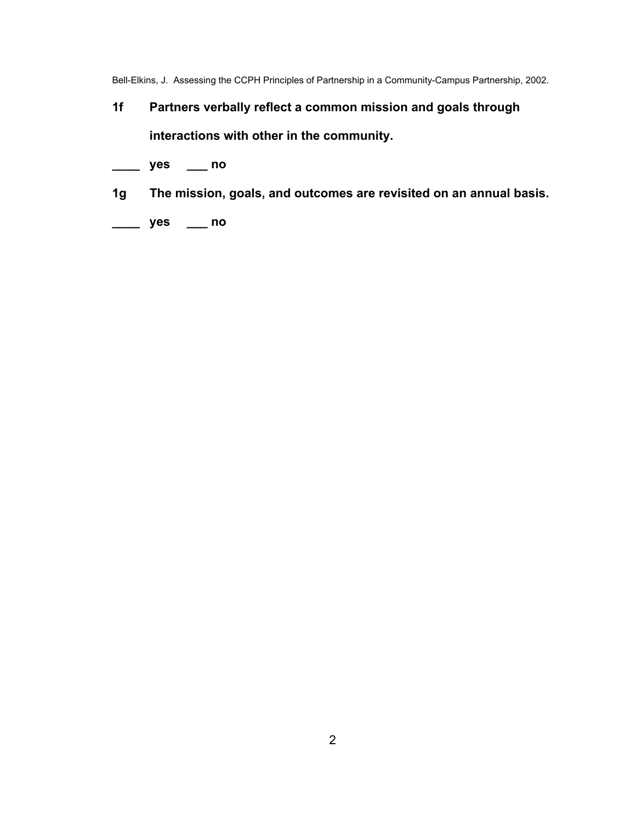- **1f Partners verbally reflect a common mission and goals through interactions with other in the community.**
- **\_\_\_\_ yes \_\_\_ no**
- **1g The mission, goals, and outcomes are revisited on an annual basis.**
- **\_\_\_\_ yes \_\_\_ no**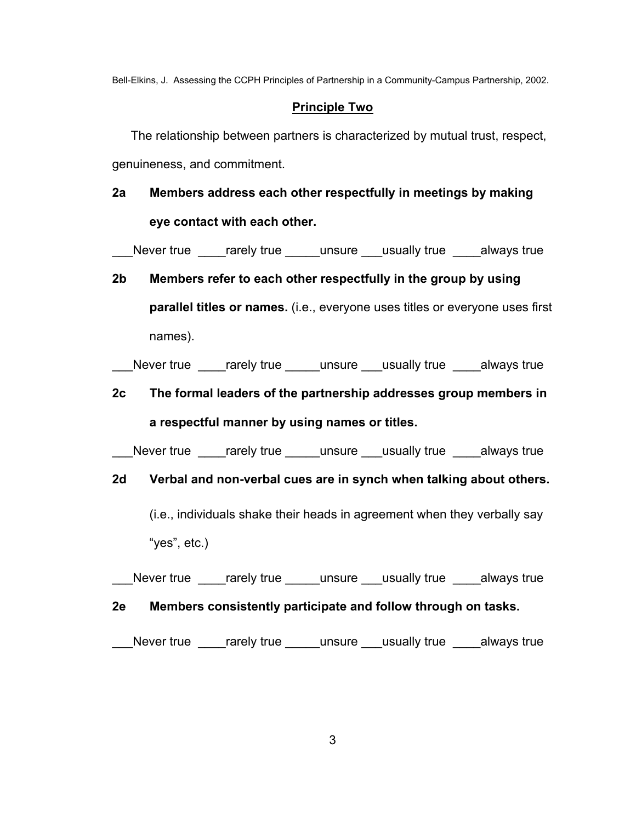## **Principle Two**

The relationship between partners is characterized by mutual trust, respect, genuineness, and commitment.

# **2a Members address each other respectfully in meetings by making eye contact with each other.**

Never true rarely true unsure usually true always true

# **2b Members refer to each other respectfully in the group by using parallel titles or names.** (i.e., everyone uses titles or everyone uses first

names).

Never true carely true cunsure usually true always true

# **2c The formal leaders of the partnership addresses group members in a respectful manner by using names or titles.**

Lacktrum Lacktrue Lacktrum always true Lacktrue Lacktrum Lacktrum always true

**2d Verbal and non-verbal cues are in synch when talking about others.** 

(i.e., individuals shake their heads in agreement when they verbally say "yes", etc.)

Never true rarely true unsure usually true always true

## **2e Members consistently participate and follow through on tasks.**

Never true carely true cunsure usually true always true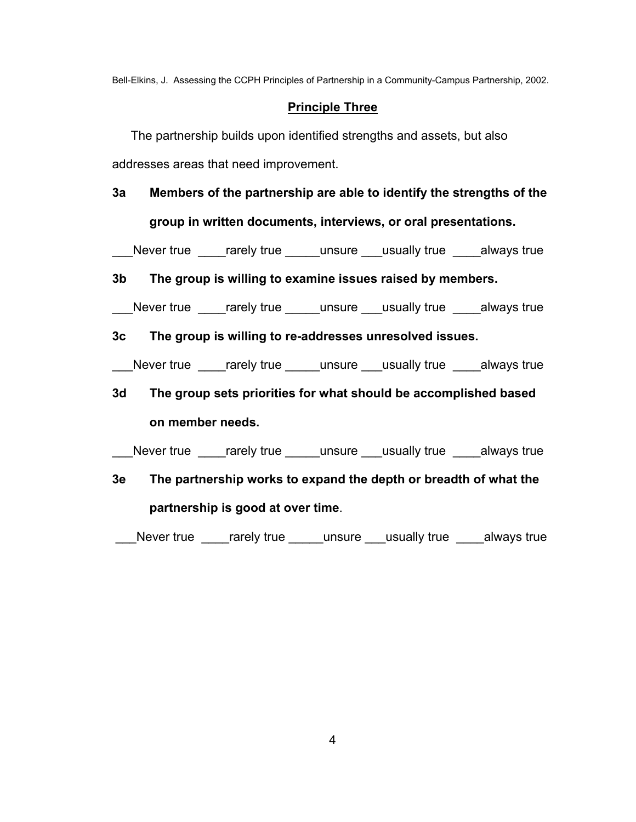## **Principle Three**

The partnership builds upon identified strengths and assets, but also

addresses areas that need improvement.

# **3a Members of the partnership are able to identify the strengths of the group in written documents, interviews, or oral presentations.**

Never true carely true cunsure usually true always true

## **3b The group is willing to examine issues raised by members.**

Never true \_\_\_\_\_rarely true \_\_\_\_\_\_\_unsure \_\_\_\_usually true \_\_\_\_\_\_always true

**3c The group is willing to re-addresses unresolved issues.** 

Never true carely true cunsure usually true always true

# **3d The group sets priorities for what should be accomplished based on member needs.**

Never true carely true cunsure usually true always true

# **3e The partnership works to expand the depth or breadth of what the partnership is good at over time**.

\_\_\_Never true \_\_\_\_rarely true \_\_\_\_\_unsure \_\_\_usually true \_\_\_\_always true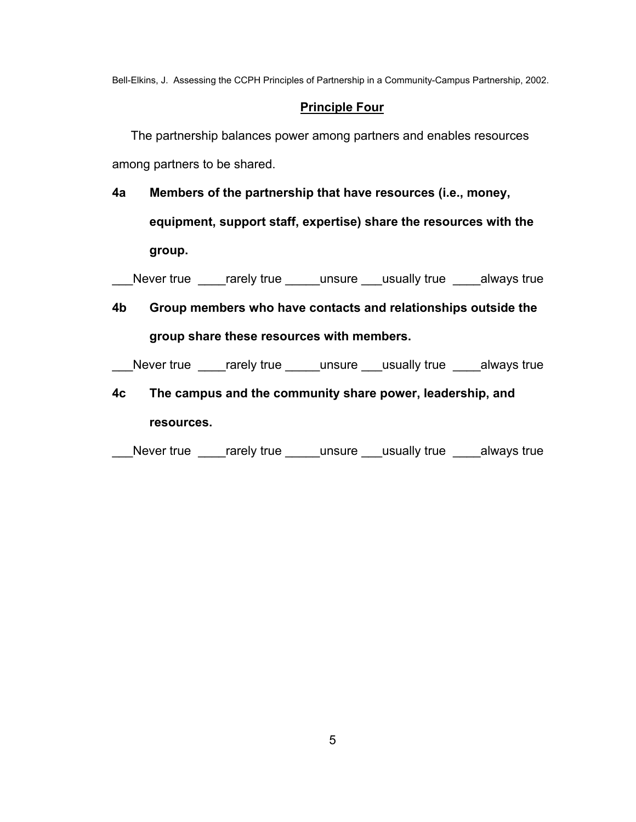## **Principle Four**

The partnership balances power among partners and enables resources among partners to be shared.

**4a Members of the partnership that have resources (i.e., money, equipment, support staff, expertise) share the resources with the group.** 

Never true carely true cunsure usually true always true

**4b Group members who have contacts and relationships outside the group share these resources with members.** 

Never true carely true cunsure usually true always true

**4c The campus and the community share power, leadership, and resources.** 

\_\_\_Never true \_\_\_\_rarely true \_\_\_\_\_unsure \_\_\_usually true \_\_\_\_always true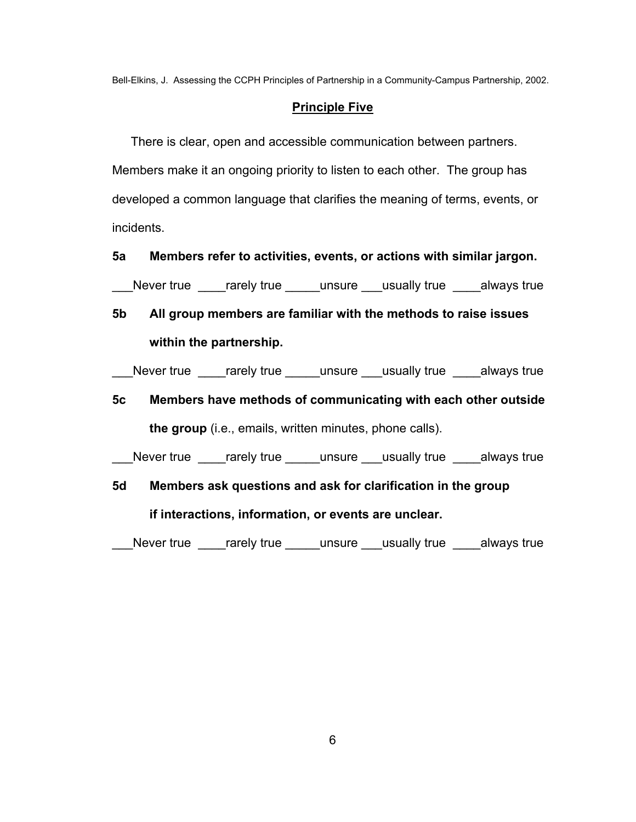## **Principle Five**

There is clear, open and accessible communication between partners. Members make it an ongoing priority to listen to each other. The group has developed a common language that clarifies the meaning of terms, events, or incidents.

**5a Members refer to activities, events, or actions with similar jargon.** 

Never true carely true cunsure usually true always true

**5b All group members are familiar with the methods to raise issues within the partnership.**

Never true carely true cunsure usually true always true

**5c Members have methods of communicating with each other outside the group** (i.e., emails, written minutes, phone calls).

\_\_\_Never true \_\_\_\_rarely true \_\_\_\_\_unsure \_\_\_usually true \_\_\_\_always true

**5d Members ask questions and ask for clarification in the group if interactions, information, or events are unclear.** 

Never true carely true dunsure usually true always true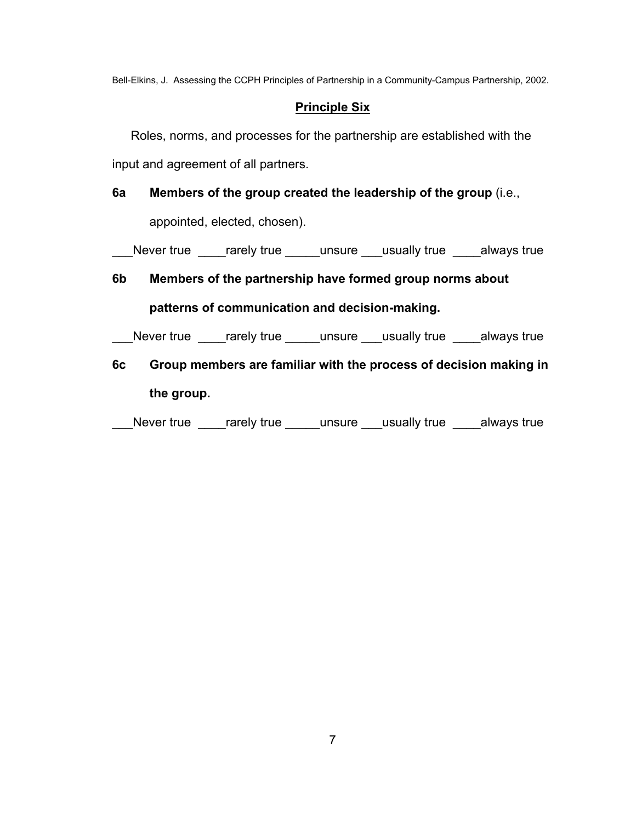## **Principle Six**

Roles, norms, and processes for the partnership are established with the

input and agreement of all partners.

# **6a Members of the group created the leadership of the group** (i.e.,

appointed, elected, chosen).

Never true carely true cunsure usually true always true

# **6b Members of the partnership have formed group norms about**

**patterns of communication and decision-making.** 

Never true rarely true unsure usually true always true

# **6c Group members are familiar with the process of decision making in the group.**

\_\_\_Never true \_\_\_\_rarely true \_\_\_\_\_unsure \_\_\_usually true \_\_\_\_always true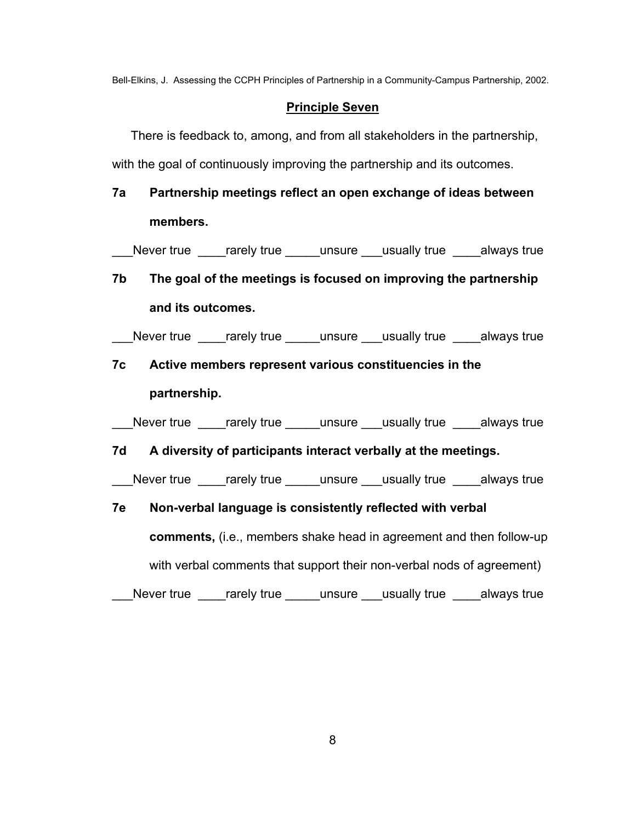## **Principle Seven**

There is feedback to, among, and from all stakeholders in the partnership,

with the goal of continuously improving the partnership and its outcomes.

# **7a Partnership meetings reflect an open exchange of ideas between members.**

Never true carrely true cunsure usually true always true

# **7b The goal of the meetings is focused on improving the partnership and its outcomes.**

\_\_\_Never true \_\_\_\_rarely true \_\_\_\_\_unsure \_\_\_usually true \_\_\_\_always true

# **7c Active members represent various constituencies in the partnership.**

\_\_\_Never true \_\_\_\_rarely true \_\_\_\_\_unsure \_\_\_usually true \_\_\_\_always true

## **7d A diversity of participants interact verbally at the meetings.**

Never true carely true cunsure usually true always true

# **7e Non-verbal language is consistently reflected with verbal**

**comments,** (i.e., members shake head in agreement and then follow-up

with verbal comments that support their non-verbal nods of agreement)

Lotter True the Lunch of true Lunsure Lusually true Lunch always true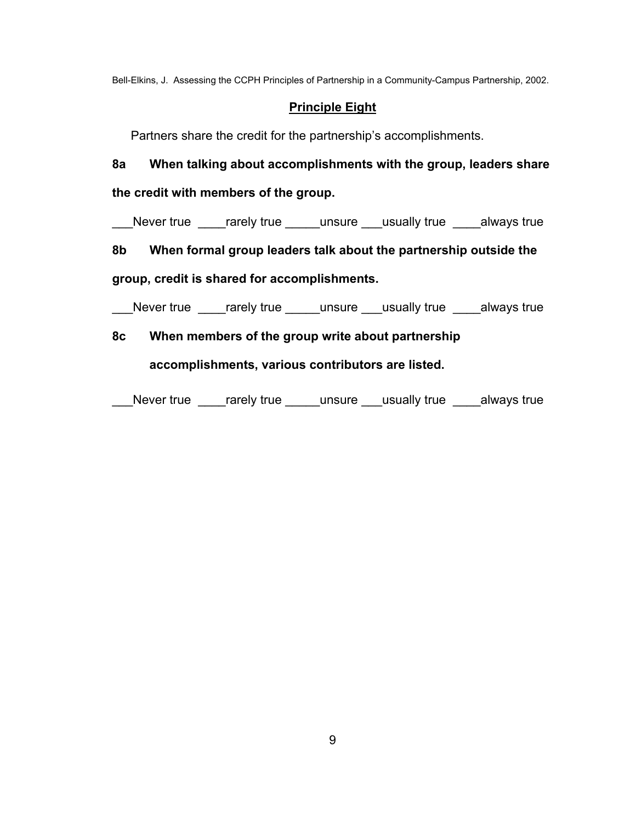## **Principle Eight**

Partners share the credit for the partnership's accomplishments.

# **8a When talking about accomplishments with the group, leaders share**

## **the credit with members of the group.**

\_\_\_Never true \_\_\_\_rarely true \_\_\_\_\_unsure \_\_\_usually true \_\_\_\_always true

**8b When formal group leaders talk about the partnership outside the** 

## **group, credit is shared for accomplishments.**

Let Never true Let arely true Let ansure Lusually true Let always true

## **8c When members of the group write about partnership**

## **accomplishments, various contributors are listed.**

Lottare Mever true Lettaraly true Lettarian Lusually true Lettaraus true Lettaraus true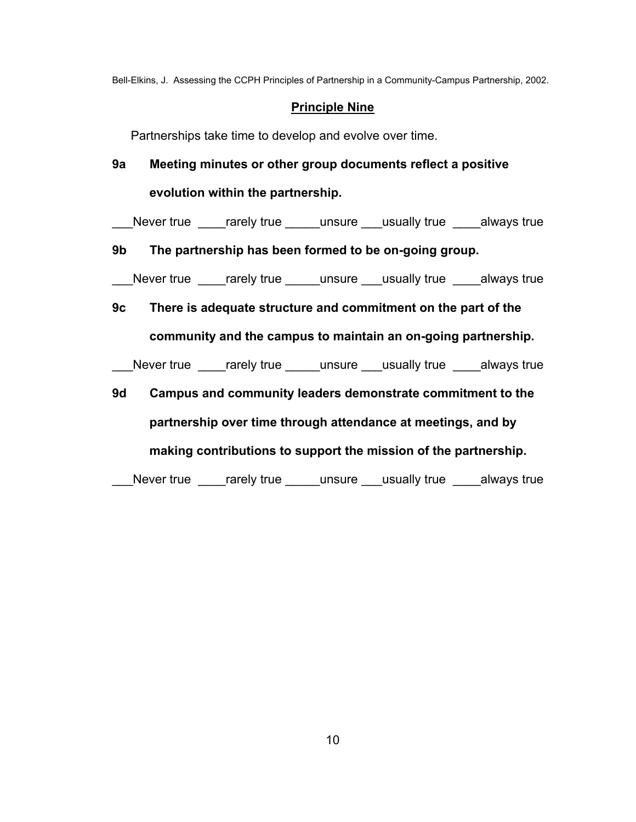## **Principle Nine**

Partnerships take time to develop and evolve over time.

# **9a Meeting minutes or other group documents reflect a positive evolution within the partnership.**

\_\_\_Never true \_\_\_\_rarely true \_\_\_\_\_unsure \_\_\_usually true \_\_\_\_always true

**9b The partnership has been formed to be on-going group.** 

Never true carely true cunsure usually true always true

**9c There is adequate structure and commitment on the part of the** 

**community and the campus to maintain an on-going partnership.** 

Never true carely true cunsure usually true always true

**9d Campus and community leaders demonstrate commitment to the partnership over time through attendance at meetings, and by making contributions to support the mission of the partnership.** 

Never true carely true cunsure usually true always true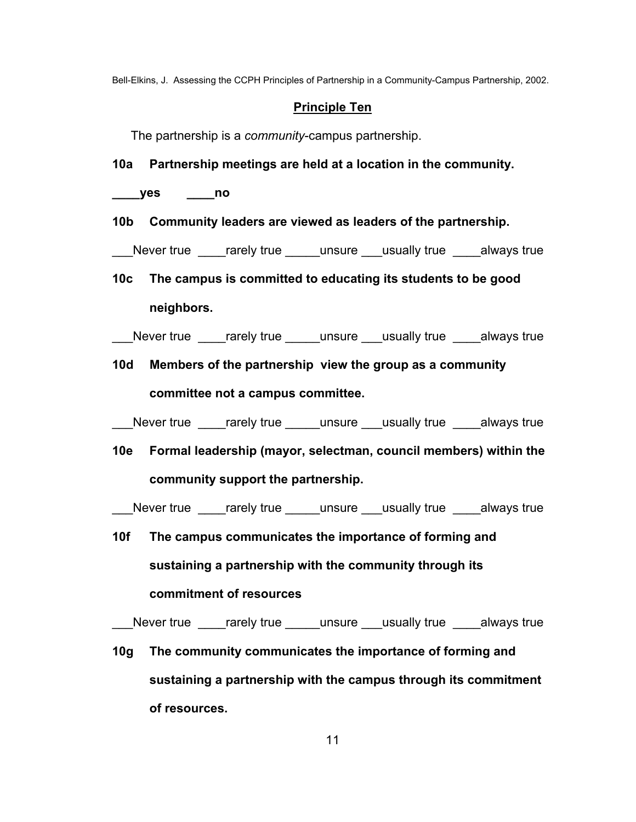## **Principle Ten**

The partnership is a *community*-campus partnership.

- **10a Partnership meetings are held at a location in the community.**
- **\_\_\_\_yes \_\_\_\_no**
- **10b Community leaders are viewed as leaders of the partnership.**
- Never true carely true cunsure usually true always true
- **10c The campus is committed to educating its students to be good neighbors.**

\_\_\_Never true \_\_\_\_rarely true \_\_\_\_\_unsure \_\_\_usually true \_\_\_\_always true

**10d Members of the partnership view the group as a community committee not a campus committee.** 

Never true carely true cunsure usually true always true

**10e Formal leadership (mayor, selectman, council members) within the community support the partnership.** 

Never true carely true cunsure usually true always true

**10f The campus communicates the importance of forming and sustaining a partnership with the community through its** 

## **commitment of resources**

Never true carely true dunsure usually true always true

**10g The community communicates the importance of forming and sustaining a partnership with the campus through its commitment of resources.**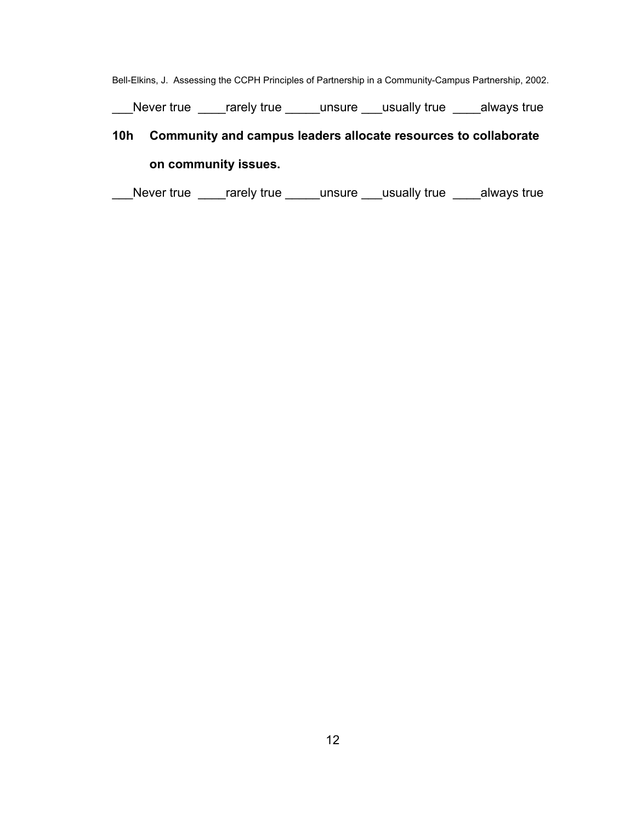\_\_\_Never true \_\_\_\_rarely true \_\_\_\_\_unsure \_\_\_usually true \_\_\_\_always true

# **10h Community and campus leaders allocate resources to collaborate on community issues.**

\_\_\_Never true \_\_\_\_rarely true \_\_\_\_\_unsure \_\_\_usually true \_\_\_\_always true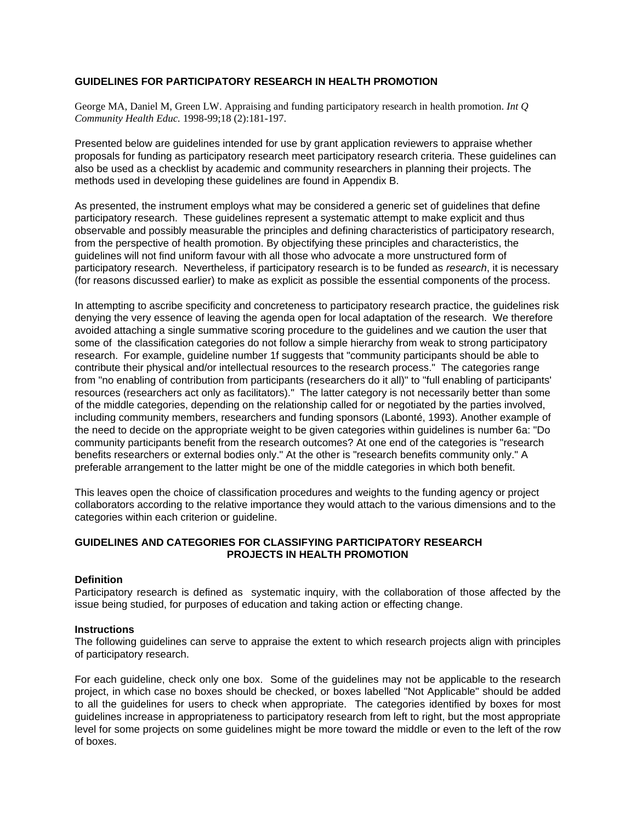### **GUIDELINES FOR PARTICIPATORY RESEARCH IN HEALTH PROMOTION**

George MA, Daniel M, Green LW. Appraising and funding participatory research in health promotion. *Int Q Community Health Educ.* 1998-99;18 (2):181-197.

Presented below are guidelines intended for use by grant application reviewers to appraise whether proposals for funding as participatory research meet participatory research criteria. These guidelines can also be used as a checklist by academic and community researchers in planning their projects. The methods used in developing these guidelines are found in Appendix B.

As presented, the instrument employs what may be considered a generic set of guidelines that define participatory research. These guidelines represent a systematic attempt to make explicit and thus observable and possibly measurable the principles and defining characteristics of participatory research, from the perspective of health promotion. By objectifying these principles and characteristics, the guidelines will not find uniform favour with all those who advocate a more unstructured form of participatory research. Nevertheless, if participatory research is to be funded as *research*, it is necessary (for reasons discussed earlier) to make as explicit as possible the essential components of the process.

In attempting to ascribe specificity and concreteness to participatory research practice, the guidelines risk denying the very essence of leaving the agenda open for local adaptation of the research. We therefore avoided attaching a single summative scoring procedure to the guidelines and we caution the user that some of the classification categories do not follow a simple hierarchy from weak to strong participatory research. For example, guideline number 1f suggests that "community participants should be able to contribute their physical and/or intellectual resources to the research process." The categories range from "no enabling of contribution from participants (researchers do it all)" to "full enabling of participants' resources (researchers act only as facilitators)." The latter category is not necessarily better than some of the middle categories, depending on the relationship called for or negotiated by the parties involved, including community members, researchers and funding sponsors (Labonté, 1993). Another example of the need to decide on the appropriate weight to be given categories within guidelines is number 6a: "Do community participants benefit from the research outcomes? At one end of the categories is "research benefits researchers or external bodies only." At the other is "research benefits community only." A preferable arrangement to the latter might be one of the middle categories in which both benefit.

This leaves open the choice of classification procedures and weights to the funding agency or project collaborators according to the relative importance they would attach to the various dimensions and to the categories within each criterion or guideline.

### **GUIDELINES AND CATEGORIES FOR CLASSIFYING PARTICIPATORY RESEARCH PROJECTS IN HEALTH PROMOTION**

### **Definition**

Participatory research is defined as systematic inquiry, with the collaboration of those affected by the issue being studied, for purposes of education and taking action or effecting change.

### **Instructions**

The following guidelines can serve to appraise the extent to which research projects align with principles of participatory research.

For each guideline, check only one box. Some of the guidelines may not be applicable to the research project, in which case no boxes should be checked, or boxes labelled "Not Applicable" should be added to all the guidelines for users to check when appropriate. The categories identified by boxes for most guidelines increase in appropriateness to participatory research from left to right, but the most appropriate level for some projects on some guidelines might be more toward the middle or even to the left of the row of boxes.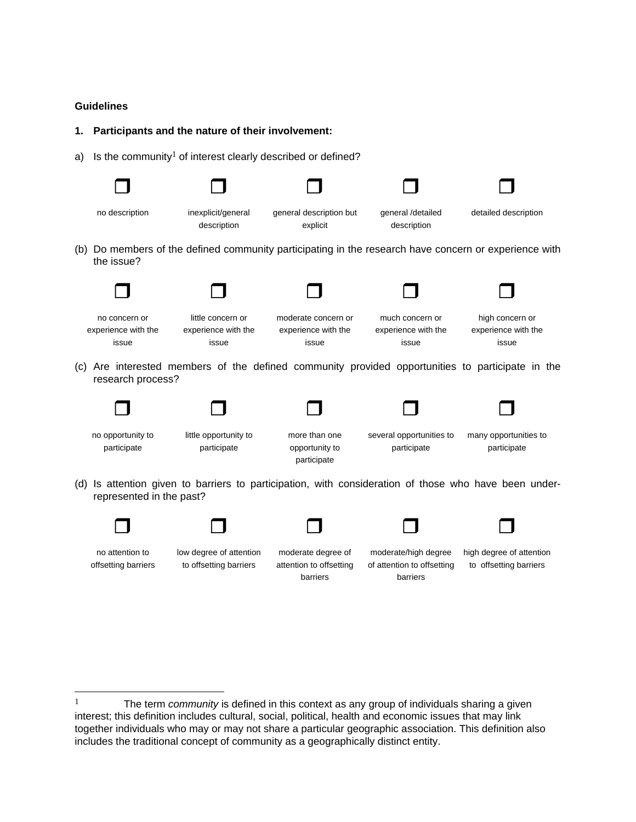## **Guidelines**

 $\overline{a}$ 

### **1. Participants and the nature of their involvement:**

a) Is the community<sup>1</sup> of interest clearly described or defined?

|     | no description                                | inexplicit/general<br>description                 | general description but<br>explicit                 | general /detailed<br>description                   | detailed description                                                                              |
|-----|-----------------------------------------------|---------------------------------------------------|-----------------------------------------------------|----------------------------------------------------|---------------------------------------------------------------------------------------------------|
| (b) | the issue?                                    |                                                   |                                                     |                                                    | Do members of the defined community participating in the research have concern or experience with |
|     |                                               |                                                   |                                                     |                                                    |                                                                                                   |
|     | no concern or<br>experience with the<br>issue | little concern or<br>experience with the<br>issue | moderate concern or<br>experience with the<br>issue | much concern or<br>experience with the<br>issue    | high concern or<br>experience with the<br>issue                                                   |
| (C) | research process?                             |                                                   |                                                     |                                                    | Are interested members of the defined community provided opportunities to participate in the      |
|     |                                               |                                                   |                                                     |                                                    |                                                                                                   |
|     | no opportunity to<br>participate              | little opportunity to<br>participate              | more than one<br>opportunity to<br>participate      | several opportunities to<br>participate            | many opportunities to<br>participate                                                              |
| (d) | represented in the past?                      |                                                   |                                                     |                                                    | Is attention given to barriers to participation, with consideration of those who have been under- |
|     |                                               |                                                   |                                                     |                                                    |                                                                                                   |
|     | no attention to<br>offsetting barriers        | low degree of attention<br>to offsetting barriers | moderate degree of<br>attention to offsetting       | moderate/high degree<br>of attention to offsetting | high degree of attention<br>to offsetting barriers                                                |

barriers

barriers

<sup>&</sup>lt;sup>1</sup> The term *community* is defined in this context as any group of individuals sharing a given interest; this definition includes cultural, social, political, health and economic issues that may link together individuals who may or may not share a particular geographic association. This definition also includes the traditional concept of community as a geographically distinct entity.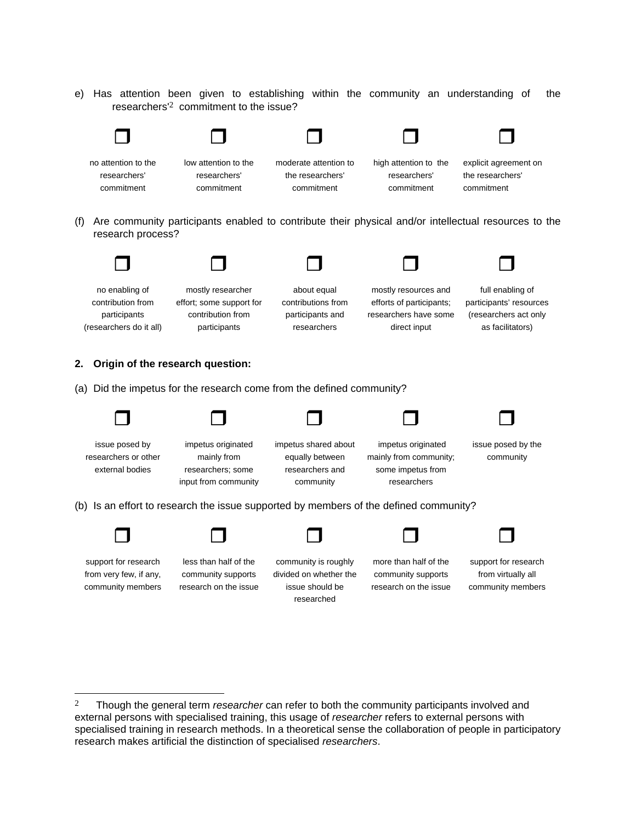e) Has attention been given to establishing within the community an understanding of the researchers'2 commitment to the issue?



(f) Are community participants enabled to contribute their physical and/or intellectual resources to the research process?



#### **2. Origin of the research question:**

 $\overline{a}$ 

(a) Did the impetus for the research come from the defined community?



researched

<sup>&</sup>lt;sup>2</sup> Though the general term *researcher* can refer to both the community participants involved and external persons with specialised training, this usage of *researcher* refers to external persons with specialised training in research methods. In a theoretical sense the collaboration of people in participatory research makes artificial the distinction of specialised *researchers*.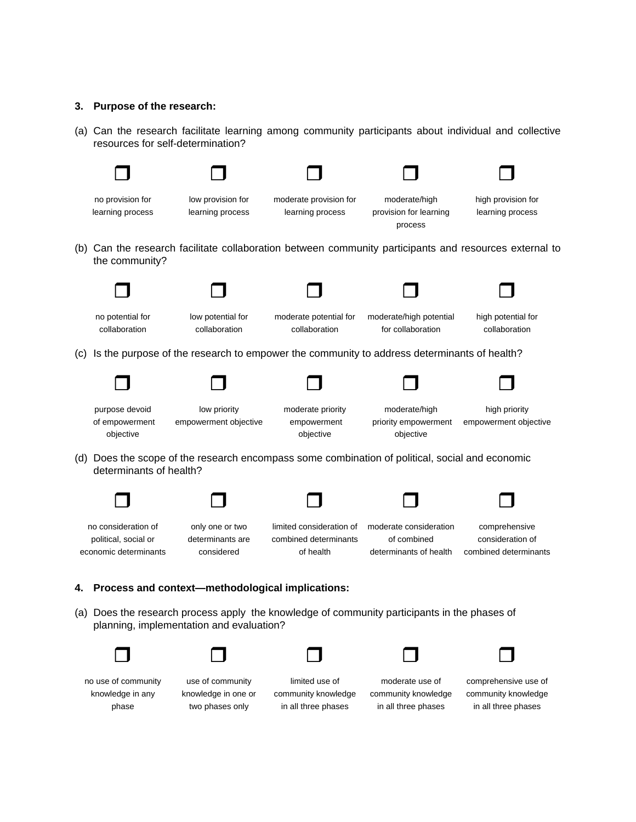### **3. Purpose of the research:**

(a) Can the research facilitate learning among community participants about individual and collective resources for self-determination?

| no provision for<br>learning process | low provision for<br>learning process | moderate provision for<br>learning process | moderate/high<br>provision for learning<br>process | high provision for<br>learning process |
|--------------------------------------|---------------------------------------|--------------------------------------------|----------------------------------------------------|----------------------------------------|

(b) Can the research facilitate collaboration between community participants and resources external to the community?



(d) Does the scope of the research encompass some combination of political, social and economic determinants of health?

|                       | $\mathcal{L}^{\mathcal{L}}$ |                          |                        |                       |
|-----------------------|-----------------------------|--------------------------|------------------------|-----------------------|
| no consideration of   | only one or two             | limited consideration of | moderate consideration | comprehensive         |
| political, social or  | determinants are            | combined determinants    | of combined            | consideration of      |
| economic determinants | considered                  | of health                | determinants of health | combined determinants |

### **4. Process and context—methodological implications:**

(a) Does the research process apply the knowledge of community participants in the phases of planning, implementation and evaluation?

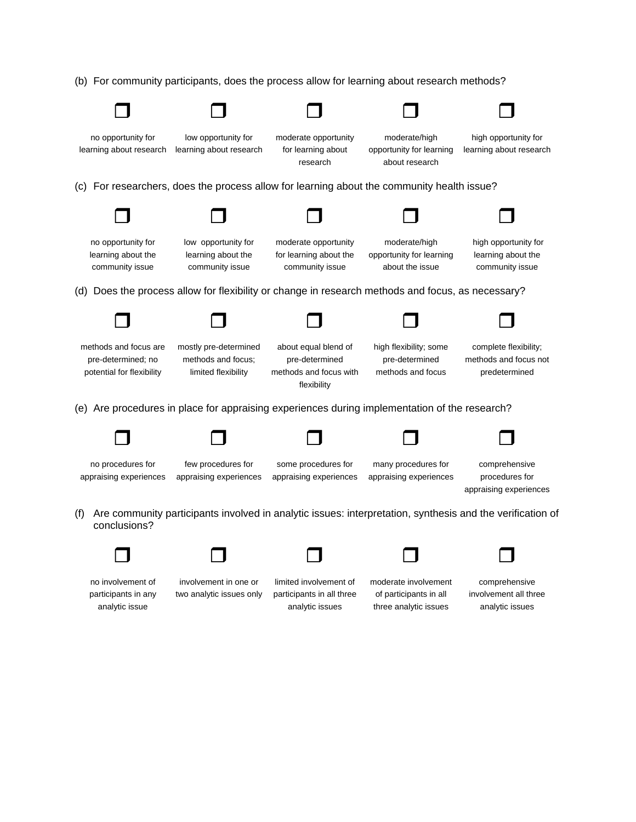

participants in any analytic issue

participants in all three analytic issues

of participants in all three analytic issues

involvement all three analytic issues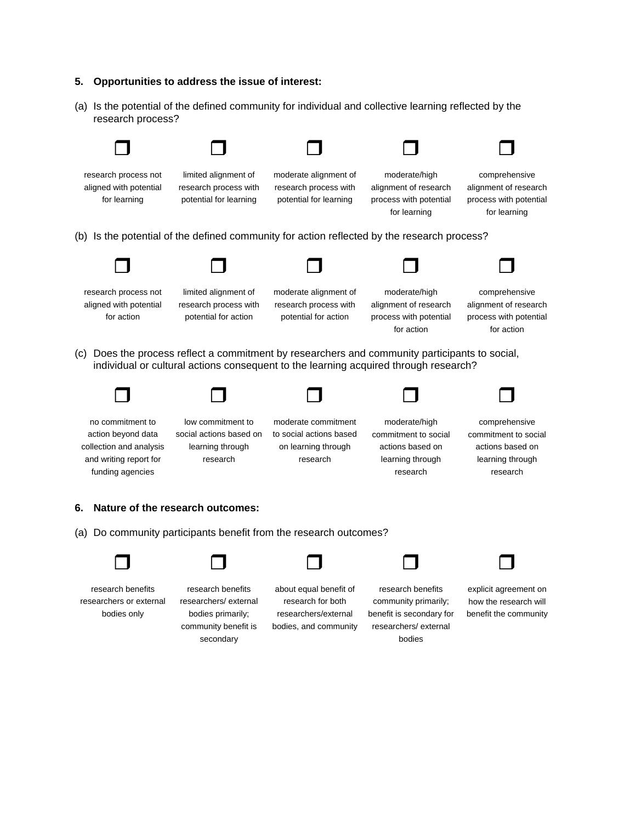#### **5. Opportunities to address the issue of interest:**

(a) Is the potential of the defined community for individual and collective learning reflected by the research process?



(a) Do community participants benefit from the research outcomes?





 $\begin{array}{ccccccccccccccccc} \Box & \Box & \Box & \Box & \Box & \Box & \Box \end{array}$ 

research benefits researchers or external bodies only

research benefits researchers/ external bodies primarily; community benefit is secondary

about equal benefit of research for both researchers/external bodies, and community

research benefits community primarily; benefit is secondary for researchers/ external bodies

explicit agreement on how the research will benefit the community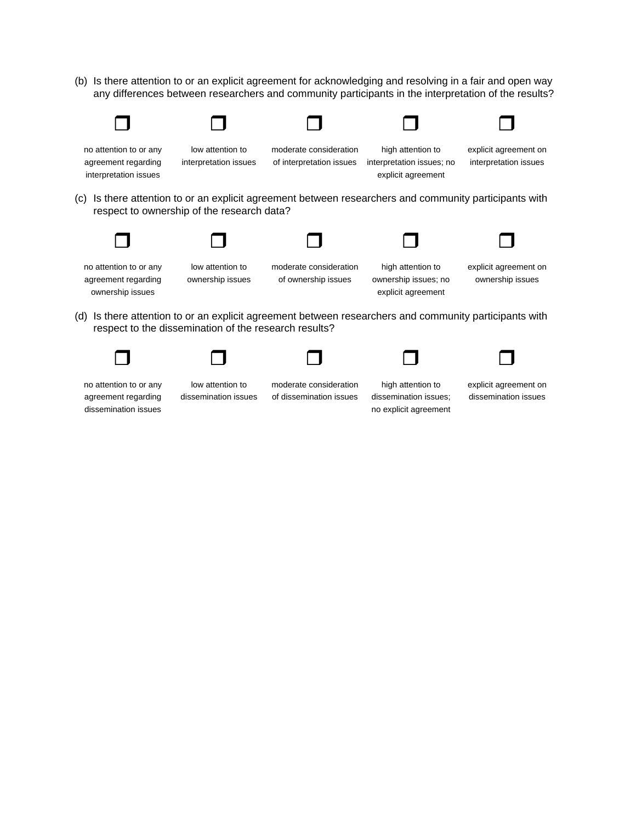(b) Is there attention to or an explicit agreement for acknowledging and resolving in a fair and open way any differences between researchers and community participants in the interpretation of the results?



no attention to or any agreement regarding interpretation issues

low attention to interpretation issues

of interpretation issues

 moderate consideration

high attention to interpretation issues; no explicit agreement

explicit agreement on interpretation issues

(c) Is there attention to or an explicit agreement between researchers and community participants with respect to ownership of the research data?









 $\Box$   $\Box$   $\Box$   $\Box$   $\Box$ 

no attention to or any agreement regarding ownership issues

low attention to ownership issues

moderate consideration of ownership issues

high attention to ownership issues; no explicit agreement

explicit agreement on ownership issues

(d) Is there attention to or an explicit agreement between researchers and community participants with respect to the dissemination of the research results?











no attention to or any agreement regarding dissemination issues

low attention to dissemination issues

moderate consideration of dissemination issues

high attention to dissemination issues; no explicit agreement

explicit agreement on dissemination issues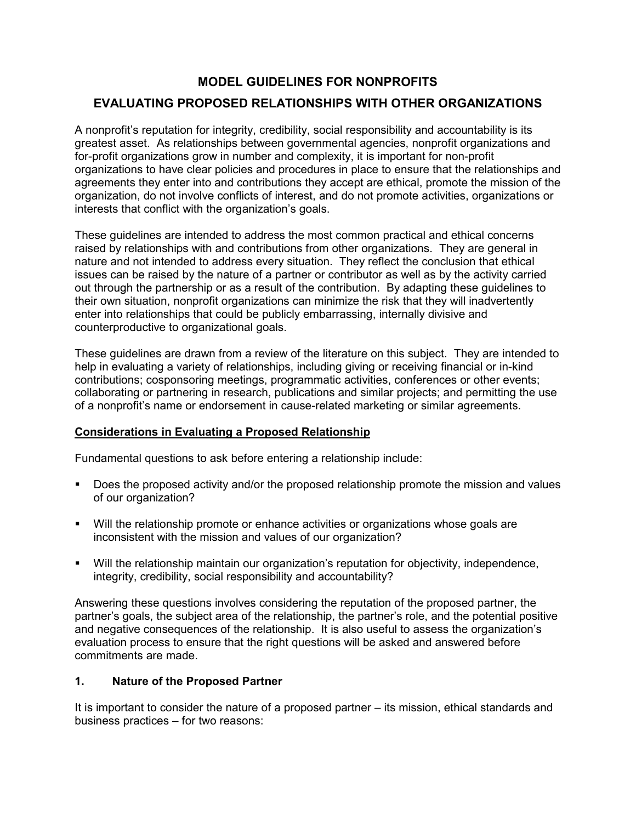# **MODEL GUIDELINES FOR NONPROFITS EVALUATING PROPOSED RELATIONSHIPS WITH OTHER ORGANIZATIONS**

A nonprofitís reputation for integrity, credibility, social responsibility and accountability is its greatest asset. As relationships between governmental agencies, nonprofit organizations and for-profit organizations grow in number and complexity, it is important for non-profit organizations to have clear policies and procedures in place to ensure that the relationships and agreements they enter into and contributions they accept are ethical, promote the mission of the organization, do not involve conflicts of interest, and do not promote activities, organizations or interests that conflict with the organization's goals.

These guidelines are intended to address the most common practical and ethical concerns raised by relationships with and contributions from other organizations. They are general in nature and not intended to address every situation. They reflect the conclusion that ethical issues can be raised by the nature of a partner or contributor as well as by the activity carried out through the partnership or as a result of the contribution. By adapting these guidelines to their own situation, nonprofit organizations can minimize the risk that they will inadvertently enter into relationships that could be publicly embarrassing, internally divisive and counterproductive to organizational goals.

These guidelines are drawn from a review of the literature on this subject. They are intended to help in evaluating a variety of relationships, including giving or receiving financial or in-kind contributions; cosponsoring meetings, programmatic activities, conferences or other events; collaborating or partnering in research, publications and similar projects; and permitting the use of a nonprofitís name or endorsement in cause-related marketing or similar agreements.

## **Considerations in Evaluating a Proposed Relationship**

Fundamental questions to ask before entering a relationship include:

- - Does the proposed activity and/or the proposed relationship promote the mission and values of our organization?
- Will the relationship promote or enhance activities or organizations whose goals are inconsistent with the mission and values of our organization?
- Will the relationship maintain our organization's reputation for objectivity, independence, integrity, credibility, social responsibility and accountability?

Answering these questions involves considering the reputation of the proposed partner, the partner's goals, the subject area of the relationship, the partner's role, and the potential positive and negative consequences of the relationship. It is also useful to assess the organizationís evaluation process to ensure that the right questions will be asked and answered before commitments are made.

## **1. Nature of the Proposed Partner**

It is important to consider the nature of a proposed partner  $-$  its mission, ethical standards and business practices  $-$  for two reasons: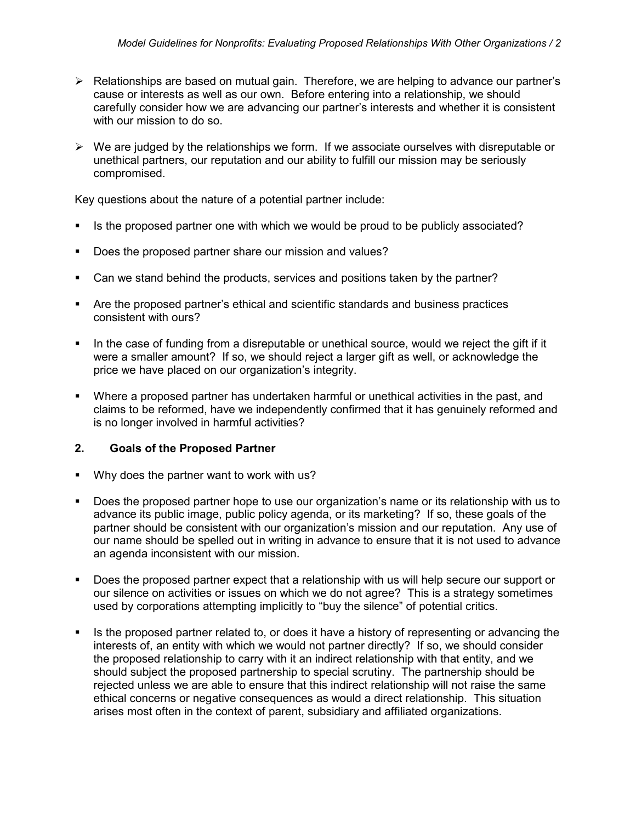- > Relationships are based on mutual gain. Therefore, we are helping to advance our partner's cause or interests as well as our own. Before entering into a relationship, we should carefully consider how we are advancing our partnerís interests and whether it is consistent with our mission to do so.
- ▶ We are judged by the relationships we form. If we associate ourselves with disreputable or unethical partners, our reputation and our ability to fulfill our mission may be seriously compromised.

Key questions about the nature of a potential partner include:

- -Is the proposed partner one with which we would be proud to be publicly associated?
- Does the proposed partner share our mission and values?
- Can we stand behind the products, services and positions taken by the partner?
- **EXTE:** Are the proposed partner's ethical and scientific standards and business practices consistent with ours?
- In the case of funding from a disreputable or unethical source, would we reject the gift if it were a smaller amount? If so, we should reject a larger gift as well, or acknowledge the price we have placed on our organization's integrity.
- Where a proposed partner has undertaken harmful or unethical activities in the past, and claims to be reformed, have we independently confirmed that it has genuinely reformed and is no longer involved in harmful activities?

## **2. Goals of the Proposed Partner**

- Why does the partner want to work with us?
- -Does the proposed partner hope to use our organization's name or its relationship with us to advance its public image, public policy agenda, or its marketing? If so, these goals of the partner should be consistent with our organization's mission and our reputation. Any use of our name should be spelled out in writing in advance to ensure that it is not used to advance an agenda inconsistent with our mission.
- - Does the proposed partner expect that a relationship with us will help secure our support or our silence on activities or issues on which we do not agree? This is a strategy sometimes used by corporations attempting implicitly to "buy the silence" of potential critics.
- - Is the proposed partner related to, or does it have a history of representing or advancing the interests of, an entity with which we would not partner directly? If so, we should consider the proposed relationship to carry with it an indirect relationship with that entity, and we should subject the proposed partnership to special scrutiny. The partnership should be rejected unless we are able to ensure that this indirect relationship will not raise the same ethical concerns or negative consequences as would a direct relationship. This situation arises most often in the context of parent, subsidiary and affiliated organizations.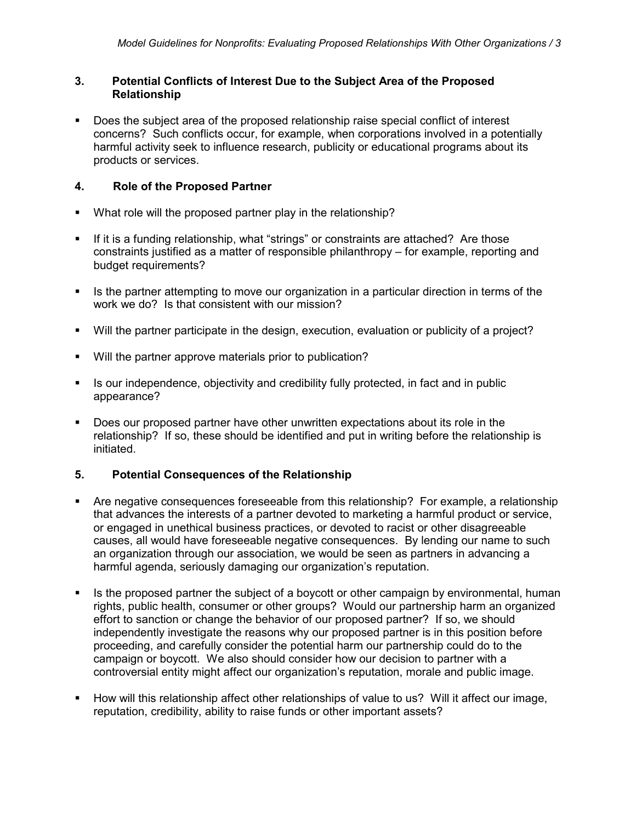## **3. Potential Conflicts of Interest Due to the Subject Area of the Proposed Relationship**

**-** Does the subject area of the proposed relationship raise special conflict of interest concerns? Such conflicts occur, for example, when corporations involved in a potentially harmful activity seek to influence research, publicity or educational programs about its products or services.

## **4. Role of the Proposed Partner**

- What role will the proposed partner play in the relationship?
- -If it is a funding relationship, what "strings" or constraints are attached? Are those constraints justified as a matter of responsible philanthropy  $-$  for example, reporting and budget requirements?
- Is the partner attempting to move our organization in a particular direction in terms of the work we do? Is that consistent with our mission?
- Will the partner participate in the design, execution, evaluation or publicity of a project?
- Will the partner approve materials prior to publication?
- **EXT** Is our independence, objectivity and credibility fully protected, in fact and in public appearance?
- Does our proposed partner have other unwritten expectations about its role in the relationship? If so, these should be identified and put in writing before the relationship is initiated.

# **5. Potential Consequences of the Relationship**

- Are negative consequences foreseeable from this relationship? For example, a relationship that advances the interests of a partner devoted to marketing a harmful product or service, or engaged in unethical business practices, or devoted to racist or other disagreeable causes, all would have foreseeable negative consequences. By lending our name to such an organization through our association, we would be seen as partners in advancing a harmful agenda, seriously damaging our organization's reputation.
- - Is the proposed partner the subject of a boycott or other campaign by environmental, human rights, public health, consumer or other groups? Would our partnership harm an organized effort to sanction or change the behavior of our proposed partner? If so, we should independently investigate the reasons why our proposed partner is in this position before proceeding, and carefully consider the potential harm our partnership could do to the campaign or boycott. We also should consider how our decision to partner with a controversial entity might affect our organization's reputation, morale and public image.
- How will this relationship affect other relationships of value to us? Will it affect our image, reputation, credibility, ability to raise funds or other important assets?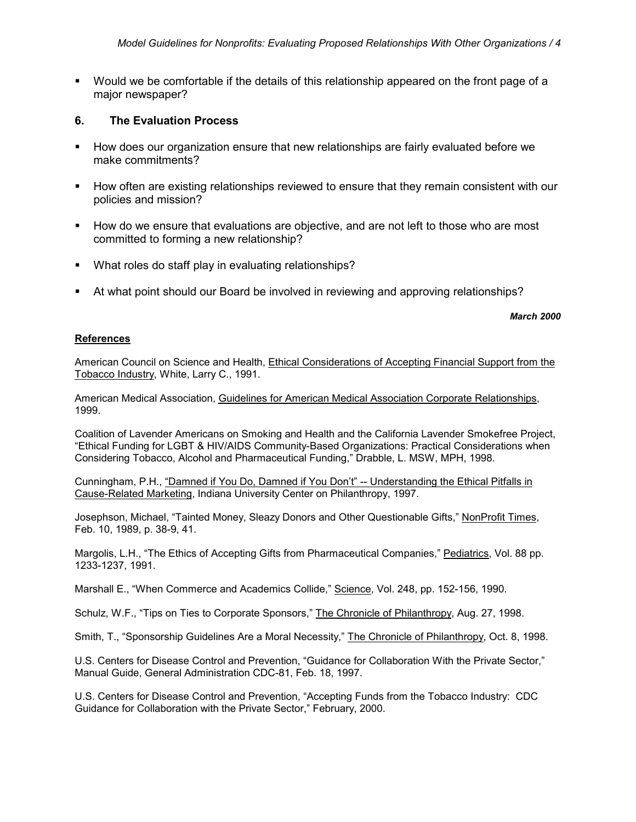- Would we be comfortable if the details of this relationship appeared on the front page of a major newspaper?

## **6. The Evaluation Process**

- How does our organization ensure that new relationships are fairly evaluated before we make commitments?
- - How often are existing relationships reviewed to ensure that they remain consistent with our policies and mission?
- How do we ensure that evaluations are objective, and are not left to those who are most committed to forming a new relationship?
- -What roles do staff play in evaluating relationships?
- -At what point should our Board be involved in reviewing and approving relationships?

*March 2000* 

### **References**

American Council on Science and Health, Ethical Considerations of Accepting Financial Support from the Tobacco Industry, White, Larry C., 1991.

American Medical Association, Guidelines for American Medical Association Corporate Relationships, 1999.

Coalition of Lavender Americans on Smoking and Health and the California Lavender Smokefree Project, ìEthical Funding for LGBT & HIV/AIDS Community-Based Organizations: Practical Considerations when Considering Tobacco, Alcohol and Pharmaceutical Funding," Drabble, L. MSW, MPH, 1998.

Cunningham, P.H., "Damned if You Do, Damned if You Don't" -- Understanding the Ethical Pitfalls in Cause-Related Marketing, Indiana University Center on Philanthropy, 1997.

Josephson, Michael, "Tainted Money, Sleazy Donors and Other Questionable Gifts," NonProfit Times, Feb. 10, 1989, p. 38-9, 41.

Margolis, L.H., "The Ethics of Accepting Gifts from Pharmaceutical Companies," Pediatrics, Vol. 88 pp. 1233-1237, 1991.

Marshall E., "When Commerce and Academics Collide," Science, Vol. 248, pp. 152-156, 1990.

Schulz, W.F., "Tips on Ties to Corporate Sponsors," The Chronicle of Philanthropy, Aug. 27, 1998.

Smith, T., "Sponsorship Guidelines Are a Moral Necessity," The Chronicle of Philanthropy, Oct. 8, 1998.

U.S. Centers for Disease Control and Prevention, "Guidance for Collaboration With the Private Sector," Manual Guide, General Administration CDC-81, Feb. 18, 1997.

U.S. Centers for Disease Control and Prevention, "Accepting Funds from the Tobacco Industry: CDC Guidance for Collaboration with the Private Sector," February, 2000.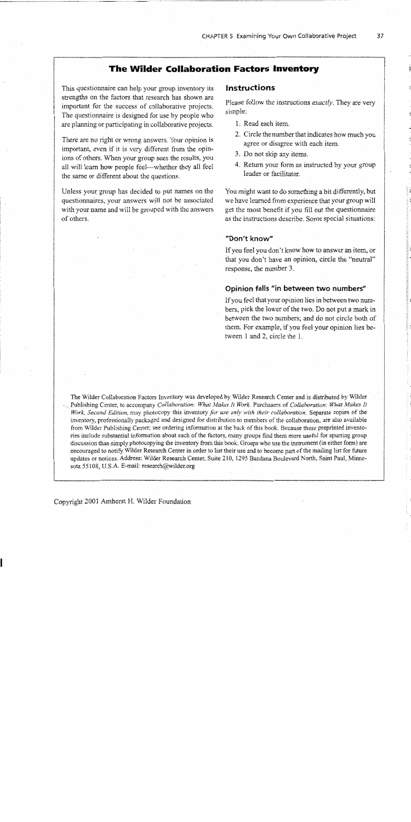## The Wilder Collaboration Factors Inventory

This questionnaire can help your group inventory its strengths on the factors that research has shown are important for the success of collaborative projects. The questionnaire is designed for use by people who are planning or participating in collaborative projects.

There are no right or wrong answers. Your opinion is important, even if it is very different from the opinions of others. When your group sees the results, you all will learn how people feel-whether they all feel the same or different about the questions.

Unless your group has decided to put names on the questionnaires, your answers will not be associated with your name and will be grouped with the answers of others.

### **Instructions**

Please follow the instructions exactly. They are very simple:

- 1. Read each item.
- 2. Circle the number that indicates how much you agree or disagree with each item.
- 3. Do not skip any items.
- 4. Return your form as instructed by your group leader or facilitator.

You might want to do something a bit differently, but we have learned from experience that your group will get the most benefit if you fill out the questionnaire as the instructions describe. Some special situations:

#### "Don't know"

If you feel you don't know how to answer an item, or that you don't have an opinion, circle the "neutral" response, the number 3.

#### Opinion falls "in between two numbers"

If you feel that your opinion lies in between two numbers, pick the lower of the two. Do not put a mark in between the two numbers; and do not circle both of them. For example, if you feel your opinion lies between 1 and 2, circle the 1.

The Wilder Collaboration Factors Inventory was developed by Wilder Research Center and is distributed by Wilder Publishing Center, to accompany Collaboration: What Makes It Work. Purchasers of Collaboration: What Makes It Work, Second Edition, may photocopy this inventory for use only with their collaboration. Separate copies of the inventory, professionally packaged and designed for distribution to members of the collaboration, are also available from Wilder Publishing Center; see ordering information at the back of this book. Because these preprinted inventories include substantial information about each of the factors, many groups find them more useful for spurring group discussion than simply photocopying the inventory from this book. Groups who use the instrument (in either form) are encouraged to notify Wilder Research Center in order to list their use and to become part of the mailing list for future updates or notices. Address: Wilder Research Center, Suite 210, 1295 Bandana Boulevard North, Saint Paul, Minnesota 55108, U.S.A. E-mail: research@wilder.org

Copyright 2001 Amherst H. Wilder Foundation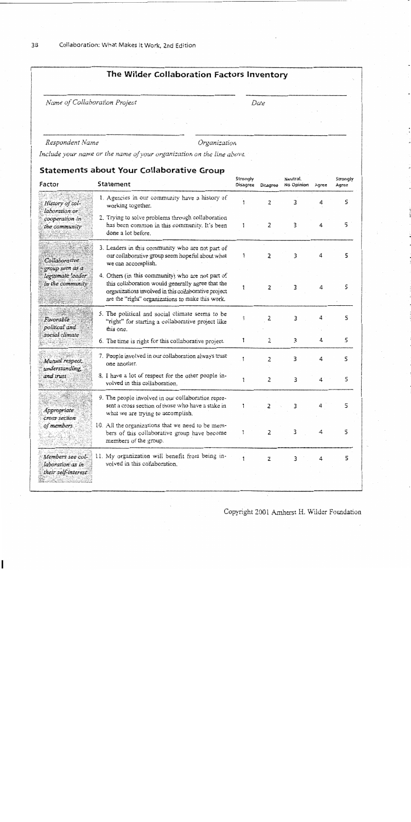# The Wilder Collaboration Factors Inventory

Name of Collaboration Project

Date

Respondent Name

38

Organization

Include your name or the name of your organization on the line above.

# **Statements about Your Collaborative Group**

| Factor                                                      | Statement                                                                                                                                                                                                          | Strongly<br>Disagree | Disagree       | Neutral,<br>No Opinion | Agree | Strongly<br>Agree |
|-------------------------------------------------------------|--------------------------------------------------------------------------------------------------------------------------------------------------------------------------------------------------------------------|----------------------|----------------|------------------------|-------|-------------------|
| History of col-<br>laboration or                            | 1. Agencies in our community have a history of<br>working together.                                                                                                                                                | 1                    | 2              | 3                      | 4     | 5                 |
| cooperation in<br>the community                             | 2. Trying to solve problems through collaboration<br>has been common in this community. It's been<br>done a lot before.                                                                                            | 1                    | 2              | 3                      | 4     | 5                 |
| Collaborative<br>group seen as a                            | 3. Leaders in this community who are not part of<br>our collaborative group seem hopeful about what<br>we can accomplish.                                                                                          | $\ddagger$           | 2              | 3                      | 4     | 5                 |
| legitimate leader<br>in the community                       | 4. Others (in this community) who are not part of<br>this collaboration would generally agree that the<br>organizations involved in this collaborative project<br>are the "right" organizations to make this work. | 1                    | $\overline{z}$ | 3                      | 4     | 5                 |
| Favorable<br>political and<br>social climate                | 5. The political and social climate seems to be<br>"right" for starting a collaborative project like<br>this one.                                                                                                  | 1                    | $\overline{2}$ | 3                      | 4     | 5                 |
|                                                             | 6. The time is right for this collaborative project.                                                                                                                                                               | 1                    | $\overline{2}$ | 3                      | 4     | 5                 |
| Mutual respect,<br>understanding,                           | 7. People involved in our collaboration always trust-<br>one another.                                                                                                                                              | 1                    | 2              | 3                      | 4     | 5                 |
| and trust                                                   | 8. I have a lot of respect for the other people in-<br>volved in this collaboration.                                                                                                                               | 1                    | 2              | з                      | 4     | 5                 |
| <i>Appropriate</i><br>cross section                         | 9. The people involved in our collaboration repre-<br>sent a cross section of those who have a stake in<br>what we are trying to accomplish.                                                                       |                      | 2              | 3                      | 4     | 5                 |
| of members                                                  | 10. All the organizations that we need to be mem-<br>bers of this collaborative group have become<br>members of the group.                                                                                         | 1                    | 2              | 3                      | 4     | 5                 |
| Members see col-<br>laboration as in<br>their self-interest | 11. My organization will benefit from being in-<br>volved in this collaboration.                                                                                                                                   | $\mathbf{1}$         | $\overline{2}$ | 3                      | 4     | 5                 |
|                                                             |                                                                                                                                                                                                                    |                      |                |                        |       |                   |

Copyright 2001 Amherst H. Wilder Foundation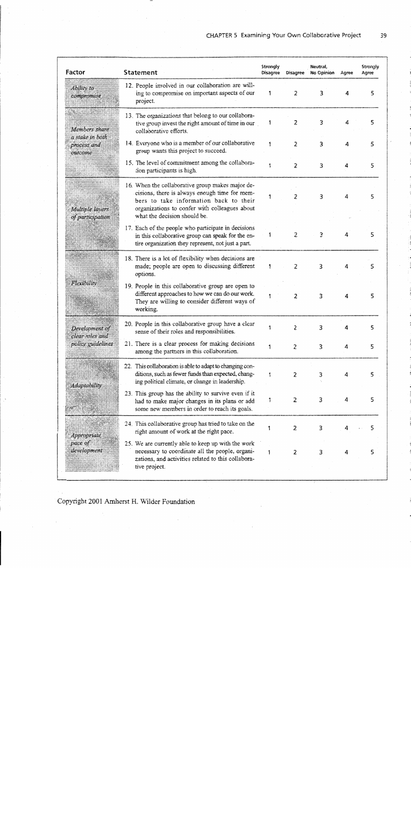| Factor                              | <b>Statement</b>                                                                                                                                                                                                             | Strongly<br>Disagree | Disagree       | Neutral.<br>No Opinion | Agree | Strongly<br>Agree |
|-------------------------------------|------------------------------------------------------------------------------------------------------------------------------------------------------------------------------------------------------------------------------|----------------------|----------------|------------------------|-------|-------------------|
| Ability to<br>compromise            | 12. People involved in our collaboration are will-<br>ing to compromise on important aspects of our<br>project.                                                                                                              | 1                    | 2              | 3                      | 4     | 5                 |
| Members share<br>a stake in both    | 13. The organizations that belong to our collabora-<br>tive group invest the right amount of time in our<br>collaborative efforts.                                                                                           | 1                    | 2              | 3                      | 4     | 5                 |
| process and<br>outcome              | 14. Everyone who is a member of our collaborative<br>group wants this project to succeed.                                                                                                                                    | 1                    | 2              | 3                      | 4     | 5                 |
|                                     | 15. The level of commitment among the collabora-<br>tion participants is high.                                                                                                                                               | 1                    | 2              | 3                      | 4     | 5                 |
| Multiple layers<br>of participation | 16. When the collaborative group makes major de-<br>cisions, there is always enough time for mem-<br>bers to take information back to their<br>organizations to confer with colleagues about<br>what the decision should be. | 1                    | 2              | 3                      | 4     | 5                 |
|                                     | 17. Each of the people who participate in decisions<br>in this collaborative group can speak for the en-<br>tire organization they represent, not just a part.                                                               | 1                    | 2              | 3                      |       | 5                 |
|                                     | 18. There is a lot of flexibility when decisions are<br>made; people are open to discussing different<br>options.                                                                                                            | 1                    | 2              | 3                      | 4     | 5                 |
| Flexibility                         | 19. People in this collaborative group are open to<br>different approaches to how we can do our work.<br>They are willing to consider different ways of<br>working.                                                          | 1                    | 2              | з                      | 4     | 5                 |
| Development of<br>clear roles and   | 20. People in this collaborative group have a clear<br>sense of their roles and responsibilities.                                                                                                                            | 1                    | $\overline{2}$ | 3                      | 4     | 5                 |
| policy guidelines                   | 21. There is a clear process for making decisions<br>among the partners in this collaboration.                                                                                                                               | 1                    | 2              | 3                      | 4     | 5                 |
| Adaptability                        | 22. This collaboration is able to adapt to changing con-<br>ditions, such as fewer funds than expected, chang-<br>ing political climate, or change in leadership.                                                            | 1                    | 2              | 3                      | 4     | 5                 |
|                                     | 23. This group has the ability to survive even if it<br>had to make major changes in its plans or add<br>some new members in order to reach its goals.                                                                       | 1                    | 2              | 3                      | 4     | 5                 |
| Appropriate                         | 24. This collaborative group has tried to take on the<br>right amount of work at the right pace.                                                                                                                             | 1                    | 2              | 3                      | 4     | 5                 |
| pace of<br>development              | 25. We are currently able to keep up with the work<br>necessary to coordinate all the people, organi-<br>zations, and activities related to this collabora-<br>tive project.                                                 | 1                    | $\overline{c}$ | з                      | 4     | 5                 |

Copyright 2001 Amherst H. Wilder Foundation

 $\overline{\phantom{a}}$ 

39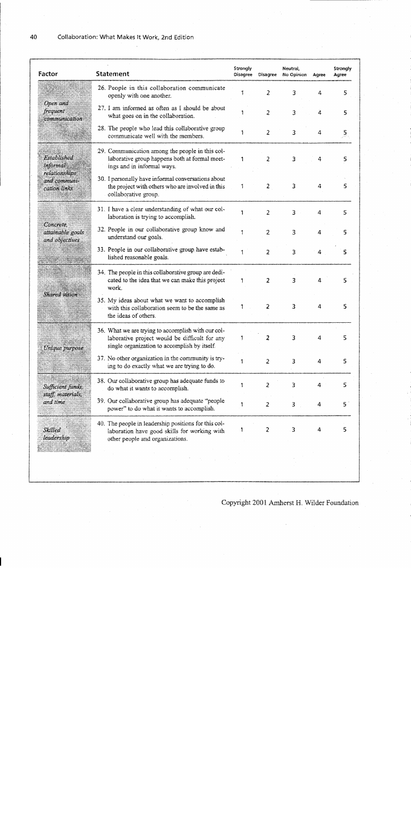40

| Factor                                          | <b>Statement</b>                                                                                                                                    | Strongly<br>Disagree | <b>Disagree</b>         | Neutral.<br>No Opinion | Agree | Strongly<br>Agree |
|-------------------------------------------------|-----------------------------------------------------------------------------------------------------------------------------------------------------|----------------------|-------------------------|------------------------|-------|-------------------|
|                                                 | 26. People in this collaboration communicate<br>openly with one another.                                                                            |                      | 2                       | 3                      | 4     | 5                 |
| Open and<br>frequent<br>communication           | 27. I am informed as often as I should be about<br>what goes on in the collaboration.                                                               |                      | 2                       | 3                      | 4     | 5                 |
|                                                 | 28. The people who lead this collaborative group<br>communicate well with the members.                                                              | 1                    | 2                       | 3                      | 4     | 5.                |
| <b>Established</b><br>informal                  | 29. Communication among the people in this col-<br>laborative group happens both at formal meet-<br>ings and in informal ways.                      | 1                    | 2                       | 3                      | 4     | 5                 |
| relationships<br>and communi-<br>cation links   | 30. I personally have informal conversations about<br>the project with others who are involved in this<br>collaborative group.                      | 1                    | $\overline{z}$          | 3                      | 4     | 5                 |
|                                                 | 31. I have a clear understanding of what our col-<br>laboration is trying to accomplish.                                                            | Ŧ                    | $\overline{z}$          | 3                      | 4     | 5.                |
| Concrete.<br>attainable goals<br>and objectives | 32. People in our collaborative group know and<br>understand our goals.                                                                             | 1                    | 2                       | 3                      | 4     | 5.                |
|                                                 | 33. People in our collaborative group have estab-<br>lished reasonable goals.                                                                       | 1                    | 2                       | 3                      | 4     | 5                 |
|                                                 | 34. The people in this collaborative group are dedi-<br>cated to the idea that we can make this project<br>work.                                    | 1                    | 2                       | 3                      | 4     | 5                 |
| Shared vision                                   | 35. My ideas about what we want to accomplish<br>with this collaboration seem to be the same as<br>the ideas of others.                             | 1                    | 2                       | З.                     | 4     | 5                 |
| Unique purpose                                  | 36. What we are trying to accomplish with our col-<br>laborative project would be difficult for any<br>single organization to accomplish by itself. | 1                    | 2                       | 3                      | 4     | 5                 |
|                                                 | 37. No other organization in the community is try-<br>ing to do exactly what we are trying to do.                                                   | 1                    | 2                       | 3.                     | 4     | 5                 |
| Sufficient funds,                               | 38. Our collaborative group has adequate funds to<br>do what it wants to accomplish.                                                                | 1                    | $\overline{z}$          | 3                      | 4     | 5.                |
| staff, materials,<br>and time                   | 39. Our collaborative group has adequate "people<br>power" to do what it wants to accomplish.                                                       | 1                    | $\overline{\mathbf{c}}$ | з                      | 4     | 5 <sup>1</sup>    |
| Skilled<br>leadership                           | 40. The people in leadership positions for this col-<br>laboration have good skills for working with<br>other people and organizations.             |                      | $\overline{z}$          | 3.                     | 4     | 5                 |

Copyright 2001 Amherst H. Wilder Foundation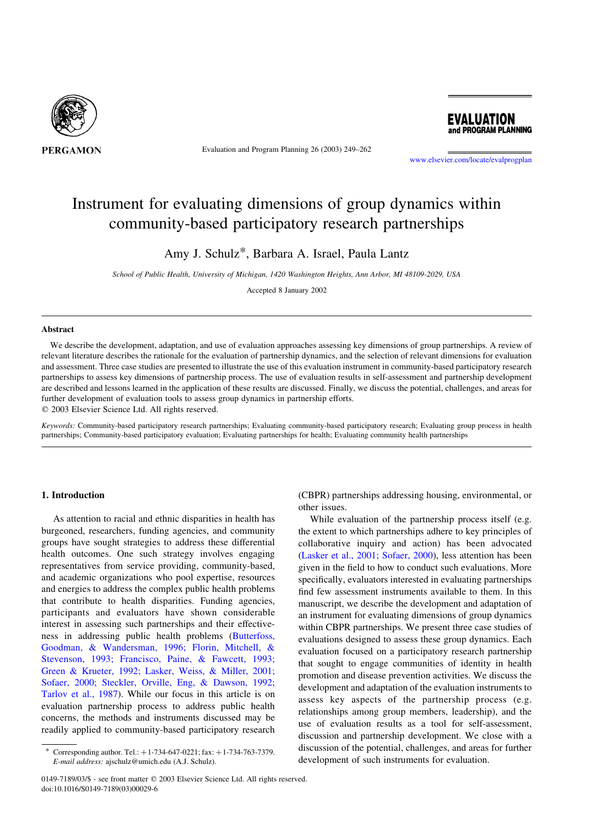

Evaluation and Program Planning 26 (2003) 249–262



[www.elsevier.com/locate/evalprogplan](http://www.elsevier.com/locate/evalprogplan)

# Instrument for evaluating dimensions of group dynamics within community-based participatory research partnerships

Amy J. Schulz\*, Barbara A. Israel, Paula Lantz

School of Public Health, University of Michigan, 1420 Washington Heights, Ann Arbor, MI 48109-2029, USA

Accepted 8 January 2002

#### Abstract

We describe the development, adaptation, and use of evaluation approaches assessing key dimensions of group partnerships. A review of relevant literature describes the rationale for the evaluation of partnership dynamics, and the selection of relevant dimensions for evaluation and assessment. Three case studies are presented to illustrate the use of this evaluation instrument in community-based participatory research partnerships to assess key dimensions of partnership process. The use of evaluation results in self-assessment and partnership development are described and lessons learned in the application of these results are discussed. Finally, we discuss the potential, challenges, and areas for further development of evaluation tools to assess group dynamics in partnership efforts.

 $©$  2003 Elsevier Science Ltd. All rights reserved.

Keywords: Community-based participatory research partnerships; Evaluating community-based participatory research; Evaluating group process in health partnerships; Community-based participatory evaluation; Evaluating partnerships for health; Evaluating community health partnerships

#### 1. Introduction

As attention to racial and ethnic disparities in health has burgeoned, researchers, funding agencies, and community groups have sought strategies to address these differential health outcomes. One such strategy involves engaging representatives from service providing, community-based, and academic organizations who pool expertise, resources and energies to address the complex public health problems that contribute to health disparities. Funding agencies, participants and evaluators have shown considerable interest in assessing such partnerships and their effectiveness in addressing public health problems [\(Butterfoss,](#page-40-0) [Goodman, & Wandersman, 1996; Florin, Mitchell, &](#page-40-0) [Stevenson, 1993; Francisco, Paine, & Fawcett, 1993;](#page-40-0) [Green & Krueter, 1992; Lasker, Weiss, & Miller, 2001;](#page-40-0) [Sofaer, 2000; Steckler, Orville, Eng, & Dawson, 1992;](#page-40-0) [Tarlov et al., 1987\)](#page-40-0). While our focus in this article is on evaluation partnership process to address public health concerns, the methods and instruments discussed may be readily applied to community-based participatory research

(CBPR) partnerships addressing housing, environmental, or other issues.

While evaluation of the partnership process itself (e.g. the extent to which partnerships adhere to key principles of collaborative inquiry and action) has been advocated ([Lasker et al., 2001; Sofaer, 2000](#page-41-0)), less attention has been given in the field to how to conduct such evaluations. More specifically, evaluators interested in evaluating partnerships find few assessment instruments available to them. In this manuscript, we describe the development and adaptation of an instrument for evaluating dimensions of group dynamics within CBPR partnerships. We present three case studies of evaluations designed to assess these group dynamics. Each evaluation focused on a participatory research partnership that sought to engage communities of identity in health promotion and disease prevention activities. We discuss the development and adaptation of the evaluation instruments to assess key aspects of the partnership process (e.g. relationships among group members, leadership), and the use of evaluation results as a tool for self-assessment, discussion and partnership development. We close with a discussion of the potential, challenges, and areas for further development of such instruments for evaluation.

Corresponding author. Tel.:  $+1-734-647-0221$ ; fax:  $+1-734-763-7379$ . E-mail address: ajschulz@umich.edu (A.J. Schulz).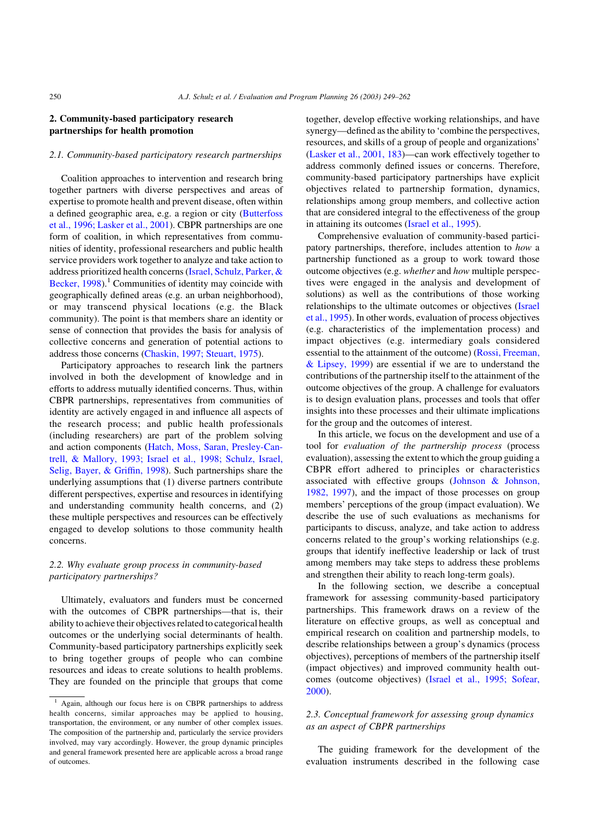### 2. Community-based participatory research partnerships for health promotion

#### 2.1. Community-based participatory research partnerships

Coalition approaches to intervention and research bring together partners with diverse perspectives and areas of expertise to promote health and prevent disease, often within a defined geographic area, e.g. a region or city ([Butterfoss](#page-40-0) [et al., 1996; Lasker et al., 2001\)](#page-40-0). CBPR partnerships are one form of coalition, in which representatives from communities of identity, professional researchers and public health service providers work together to analyze and take action to address prioritized health concerns [\(Israel, Schulz, Parker, &](#page-40-0) Becker,  $1998$ ).<sup>1</sup> Communities of identity may coincide with geographically defined areas (e.g. an urban neighborhood), or may transcend physical locations (e.g. the Black community). The point is that members share an identity or sense of connection that provides the basis for analysis of collective concerns and generation of potential actions to address those concerns [\(Chaskin, 1997; Steuart, 1975](#page-40-0)).

Participatory approaches to research link the partners involved in both the development of knowledge and in efforts to address mutually identified concerns. Thus, within CBPR partnerships, representatives from communities of identity are actively engaged in and influence all aspects of the research process; and public health professionals (including researchers) are part of the problem solving and action components ([Hatch, Moss, Saran, Presley-Can](#page-40-0)[trell, & Mallory, 1993; Israel et al., 1998; Schulz, Israel,](#page-40-0) [Selig, Bayer, & Griffin, 1998](#page-40-0)). Such partnerships share the underlying assumptions that (1) diverse partners contribute different perspectives, expertise and resources in identifying and understanding community health concerns, and (2) these multiple perspectives and resources can be effectively engaged to develop solutions to those community health concerns.

### 2.2. Why evaluate group process in community-based participatory partnerships?

Ultimately, evaluators and funders must be concerned with the outcomes of CBPR partnerships—that is, their ability to achieve their objectives related to categorical health outcomes or the underlying social determinants of health. Community-based participatory partnerships explicitly seek to bring together groups of people who can combine resources and ideas to create solutions to health problems. They are founded on the principle that groups that come

together, develop effective working relationships, and have synergy—defined as the ability to 'combine the perspectives, resources, and skills of a group of people and organizations' ([Lasker et al., 2001, 183\)](#page-41-0)—can work effectively together to address commonly defined issues or concerns. Therefore, community-based participatory partnerships have explicit objectives related to partnership formation, dynamics, relationships among group members, and collective action that are considered integral to the effectiveness of the group in attaining its outcomes ([Israel et al., 1995\)](#page-40-0).

Comprehensive evaluation of community-based participatory partnerships, therefore, includes attention to how a partnership functioned as a group to work toward those outcome objectives (e.g. whether and how multiple perspectives were engaged in the analysis and development of solutions) as well as the contributions of those working relationships to the ultimate outcomes or objectives [\(Israel](#page-40-0) [et al., 1995\)](#page-40-0). In other words, evaluation of process objectives (e.g. characteristics of the implementation process) and impact objectives (e.g. intermediary goals considered essential to the attainment of the outcome) [\(Rossi, Freeman,](#page-41-0) [& Lipsey, 1999\)](#page-41-0) are essential if we are to understand the contributions of the partnership itself to the attainment of the outcome objectives of the group. A challenge for evaluators is to design evaluation plans, processes and tools that offer insights into these processes and their ultimate implications for the group and the outcomes of interest.

In this article, we focus on the development and use of a tool for evaluation of the partnership process (process evaluation), assessing the extent to which the group guiding a CBPR effort adhered to principles or characteristics associated with effective groups ([Johnson & Johnson,](#page-40-0) [1982, 1997](#page-40-0)), and the impact of those processes on group members' perceptions of the group (impact evaluation). We describe the use of such evaluations as mechanisms for participants to discuss, analyze, and take action to address concerns related to the group's working relationships (e.g. groups that identify ineffective leadership or lack of trust among members may take steps to address these problems and strengthen their ability to reach long-term goals).

In the following section, we describe a conceptual framework for assessing community-based participatory partnerships. This framework draws on a review of the literature on effective groups, as well as conceptual and empirical research on coalition and partnership models, to describe relationships between a group's dynamics (process objectives), perceptions of members of the partnership itself (impact objectives) and improved community health outcomes (outcome objectives) [\(Israel et al., 1995; Sofear,](#page-40-0) [2000\)](#page-40-0).

### 2.3. Conceptual framework for assessing group dynamics as an aspect of CBPR partnerships

The guiding framework for the development of the evaluation instruments described in the following case

<sup>&</sup>lt;sup>1</sup> Again, although our focus here is on CBPR partnerships to address health concerns, similar approaches may be applied to housing, transportation, the environment, or any number of other complex issues. The composition of the partnership and, particularly the service providers involved, may vary accordingly. However, the group dynamic principles and general framework presented here are applicable across a broad range of outcomes.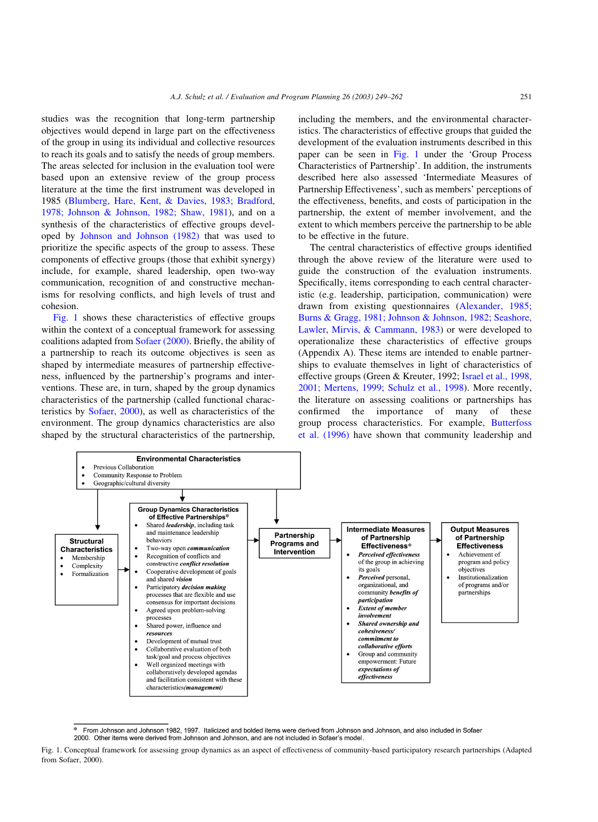<span id="page-30-0"></span>studies was the recognition that long-term partnership objectives would depend in large part on the effectiveness of the group in using its individual and collective resources to reach its goals and to satisfy the needs of group members. The areas selected for inclusion in the evaluation tool were based upon an extensive review of the group process literature at the time the first instrument was developed in 1985 [\(Blumberg, Hare, Kent, & Davies, 1983; Bradford,](#page-40-0) [1978; Johnson & Johnson, 1982; Shaw, 1981](#page-40-0)), and on a synthesis of the characteristics of effective groups developed by [Johnson and Johnson \(1982\)](#page-40-0) that was used to prioritize the specific aspects of the group to assess. These components of effective groups (those that exhibit synergy) include, for example, shared leadership, open two-way communication, recognition of and constructive mechanisms for resolving conflicts, and high levels of trust and cohesion.

Fig. 1 shows these characteristics of effective groups within the context of a conceptual framework for assessing coalitions adapted from [Sofaer \(2000\).](#page-41-0) Briefly, the ability of a partnership to reach its outcome objectives is seen as shaped by intermediate measures of partnership effectiveness, influenced by the partnership's programs and interventions. These are, in turn, shaped by the group dynamics characteristics of the partnership (called functional characteristics by [Sofaer, 2000\)](#page-41-0), as well as characteristics of the environment. The group dynamics characteristics are also shaped by the structural characteristics of the partnership,

including the members, and the environmental characteristics. The characteristics of effective groups that guided the development of the evaluation instruments described in this paper can be seen in Fig. 1 under the 'Group Process Characteristics of Partnership'. In addition, the instruments described here also assessed 'Intermediate Measures of Partnership Effectiveness', such as members' perceptions of the effectiveness, benefits, and costs of participation in the partnership, the extent of member involvement, and the extent to which members perceive the partnership to be able to be effective in the future.

The central characteristics of effective groups identified through the above review of the literature were used to guide the construction of the evaluation instruments. Specifically, items corresponding to each central characteristic (e.g. leadership, participation, communication) were drawn from existing questionnaires [\(Alexander, 1985;](#page-40-0) [Burns & Gragg, 1981; Johnson & Johnson, 1982; Seashore,](#page-40-0) [Lawler, Mirvis, & Cammann, 1983\)](#page-40-0) or were developed to operationalize these characteristics of effective groups (Appendix A). These items are intended to enable partnerships to evaluate themselves in light of characteristics of effective groups (Green & Kreuter, 1992; [Israel et al., 1998,](#page-40-0) [2001; Mertens, 1999; Schulz et al., 1998](#page-40-0)). More recently, the literature on assessing coalitions or partnerships has confirmed the importance of many of these group process characteristics. For example, [Butterfoss](#page-40-0) [et al. \(1996\)](#page-40-0) have shown that community leadership and



From Johnson and Johnson 1982, 1997. Italicized and bolded items were derived from Johnson and Johnson, and also included in Sofaer 2000. Other items were derived from Johnson and Johnson, and are not included in Sofaer's model.

Fig. 1. Conceptual framework for assessing group dynamics as an aspect of effectiveness of community-based participatory research partnerships (Adapted from Sofaer, 2000).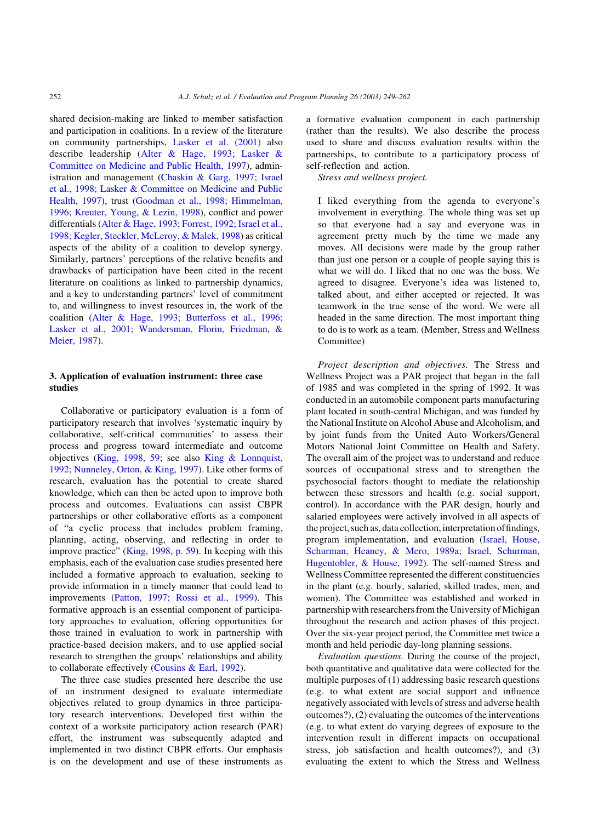shared decision-making are linked to member satisfaction and participation in coalitions. In a review of the literature on community partnerships, [Lasker et al. \(2001\)](#page-41-0) also describe leadership [\(Alter & Hage, 1993; Lasker &](#page-40-0) [Committee on Medicine and Public Health, 1997](#page-40-0)), administration and management [\(Chaskin & Garg, 1997; Israel](#page-40-0) [et al., 1998; Lasker & Committee on Medicine and Public](#page-40-0) [Health, 1997\)](#page-40-0), trust [\(Goodman et al., 1998; Himmelman,](#page-40-0) [1996; Kreuter, Young, & Lezin, 1998\)](#page-40-0), conflict and power differentials ([Alter & Hage, 1993; Forrest, 1992; Israel et al.,](#page-40-0) [1998; Kegler, Steckler, McLeroy, & Malek, 1998](#page-40-0)) as critical aspects of the ability of a coalition to develop synergy. Similarly, partners' perceptions of the relative benefits and drawbacks of participation have been cited in the recent literature on coalitions as linked to partnership dynamics, and a key to understanding partners' level of commitment to, and willingness to invest resources in, the work of the coalition [\(Alter & Hage, 1993; Butterfoss et al., 1996;](#page-40-0) [Lasker et al., 2001; Wandersman, Florin, Friedman, &](#page-40-0) [Meier, 1987\)](#page-40-0).

### 3. Application of evaluation instrument: three case studies

Collaborative or participatory evaluation is a form of participatory research that involves 'systematic inquiry by collaborative, self-critical communities' to assess their process and progress toward intermediate and outcome objectives [\(King, 1998, 59;](#page-41-0) see also [King & Lonnquist,](#page-41-0) [1992; Nunneley, Orton, & King, 1997](#page-41-0)). Like other forms of research, evaluation has the potential to create shared knowledge, which can then be acted upon to improve both process and outcomes. Evaluations can assist CBPR partnerships or other collaborative efforts as a component of "a cyclic process that includes problem framing, planning, acting, observing, and reflecting in order to improve practice" [\(King, 1998, p. 59](#page-41-0)). In keeping with this emphasis, each of the evaluation case studies presented here included a formative approach to evaluation, seeking to provide information in a timely manner that could lead to improvements [\(Patton, 1997; Rossi et al., 1999](#page-41-0)). This formative approach is an essential component of participatory approaches to evaluation, offering opportunities for those trained in evaluation to work in partnership with practice-based decision makers, and to use applied social research to strengthen the groups' relationships and ability to collaborate effectively ([Cousins & Earl, 1992\)](#page-40-0).

The three case studies presented here describe the use of an instrument designed to evaluate intermediate objectives related to group dynamics in three participatory research interventions. Developed first within the context of a worksite participatory action research (PAR) effort, the instrument was subsequently adapted and implemented in two distinct CBPR efforts. Our emphasis is on the development and use of these instruments as

a formative evaluation component in each partnership (rather than the results). We also describe the process used to share and discuss evaluation results within the partnerships, to contribute to a participatory process of self-reflection and action.

Stress and wellness project.

I liked everything from the agenda to everyone's involvement in everything. The whole thing was set up so that everyone had a say and everyone was in agreement pretty much by the time we made any moves. All decisions were made by the group rather than just one person or a couple of people saying this is what we will do. I liked that no one was the boss. We agreed to disagree. Everyone's idea was listened to, talked about, and either accepted or rejected. It was teamwork in the true sense of the word. We were all headed in the same direction. The most important thing to do is to work as a team. (Member, Stress and Wellness Committee)

Project description and objectives. The Stress and Wellness Project was a PAR project that began in the fall of 1985 and was completed in the spring of 1992. It was conducted in an automobile component parts manufacturing plant located in south-central Michigan, and was funded by the National Institute on Alcohol Abuse and Alcoholism, and by joint funds from the United Auto Workers/General Motors National Joint Committee on Health and Safety. The overall aim of the project was to understand and reduce sources of occupational stress and to strengthen the psychosocial factors thought to mediate the relationship between these stressors and health (e.g. social support, control). In accordance with the PAR design, hourly and salaried employees were actively involved in all aspects of the project, such as, data collection, interpretation offindings, program implementation, and evaluation ([Israel, House,](#page-40-0) [Schurman, Heaney, & Mero, 1989a; Israel, Schurman,](#page-40-0) [Hugentobler, & House, 1992](#page-40-0)). The self-named Stress and Wellness Committee represented the different constituencies in the plant (e.g. hourly, salaried, skilled trades, men, and women). The Committee was established and worked in partnership with researchers from the University of Michigan throughout the research and action phases of this project. Over the six-year project period, the Committee met twice a month and held periodic day-long planning sessions.

Evaluation questions. During the course of the project, both quantitative and qualitative data were collected for the multiple purposes of (1) addressing basic research questions (e.g. to what extent are social support and influence negatively associated with levels of stress and adverse health outcomes?), (2) evaluating the outcomes of the interventions (e.g. to what extent do varying degrees of exposure to the intervention result in different impacts on occupational stress, job satisfaction and health outcomes?), and (3) evaluating the extent to which the Stress and Wellness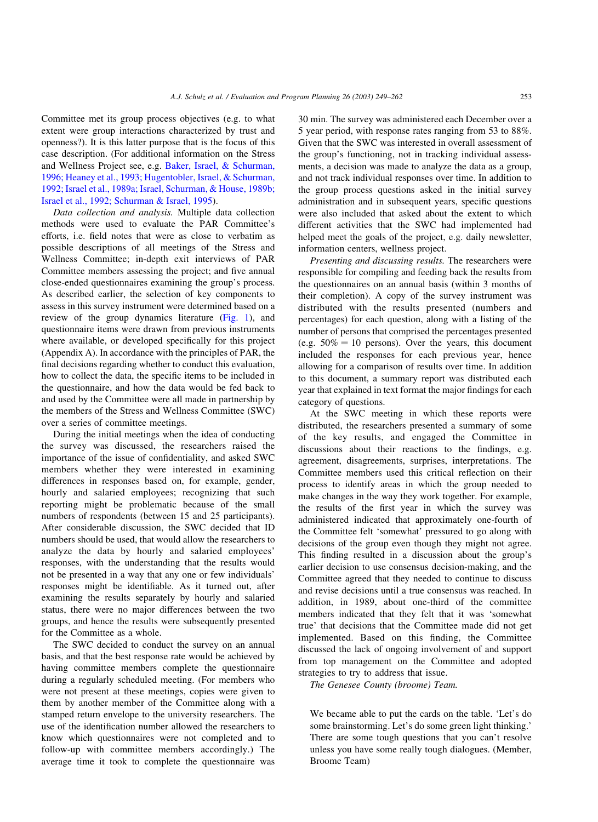Committee met its group process objectives (e.g. to what extent were group interactions characterized by trust and openness?). It is this latter purpose that is the focus of this case description. (For additional information on the Stress and Wellness Project see, e.g. [Baker, Israel, & Schurman,](#page-40-0) [1996; Heaney et al., 1993; Hugentobler, Israel, & Schurman,](#page-40-0) [1992; Israel et al., 1989a; Israel, Schurman, & House, 1989b;](#page-40-0) [Israel et al., 1992; Schurman & Israel, 1995\)](#page-40-0).

Data collection and analysis. Multiple data collection methods were used to evaluate the PAR Committee's efforts, i.e. field notes that were as close to verbatim as possible descriptions of all meetings of the Stress and Wellness Committee; in-depth exit interviews of PAR Committee members assessing the project; and five annual close-ended questionnaires examining the group's process. As described earlier, the selection of key components to assess in this survey instrument were determined based on a review of the group dynamics literature [\(Fig. 1](#page-30-0)), and questionnaire items were drawn from previous instruments where available, or developed specifically for this project (Appendix A). In accordance with the principles of PAR, the final decisions regarding whether to conduct this evaluation, how to collect the data, the specific items to be included in the questionnaire, and how the data would be fed back to and used by the Committee were all made in partnership by the members of the Stress and Wellness Committee (SWC) over a series of committee meetings.

During the initial meetings when the idea of conducting the survey was discussed, the researchers raised the importance of the issue of confidentiality, and asked SWC members whether they were interested in examining differences in responses based on, for example, gender, hourly and salaried employees; recognizing that such reporting might be problematic because of the small numbers of respondents (between 15 and 25 participants). After considerable discussion, the SWC decided that ID numbers should be used, that would allow the researchers to analyze the data by hourly and salaried employees' responses, with the understanding that the results would not be presented in a way that any one or few individuals' responses might be identifiable. As it turned out, after examining the results separately by hourly and salaried status, there were no major differences between the two groups, and hence the results were subsequently presented for the Committee as a whole.

The SWC decided to conduct the survey on an annual basis, and that the best response rate would be achieved by having committee members complete the questionnaire during a regularly scheduled meeting. (For members who were not present at these meetings, copies were given to them by another member of the Committee along with a stamped return envelope to the university researchers. The use of the identification number allowed the researchers to know which questionnaires were not completed and to follow-up with committee members accordingly.) The average time it took to complete the questionnaire was

30 min. The survey was administered each December over a 5 year period, with response rates ranging from 53 to 88%. Given that the SWC was interested in overall assessment of the group's functioning, not in tracking individual assessments, a decision was made to analyze the data as a group, and not track individual responses over time. In addition to the group process questions asked in the initial survey administration and in subsequent years, specific questions were also included that asked about the extent to which different activities that the SWC had implemented had helped meet the goals of the project, e.g. daily newsletter, information centers, wellness project.

Presenting and discussing results. The researchers were responsible for compiling and feeding back the results from the questionnaires on an annual basis (within 3 months of their completion). A copy of the survey instrument was distributed with the results presented (numbers and percentages) for each question, along with a listing of the number of persons that comprised the percentages presented (e.g.  $50\% = 10$  persons). Over the years, this document included the responses for each previous year, hence allowing for a comparison of results over time. In addition to this document, a summary report was distributed each year that explained in text format the major findings for each category of questions.

At the SWC meeting in which these reports were distributed, the researchers presented a summary of some of the key results, and engaged the Committee in discussions about their reactions to the findings, e.g. agreement, disagreements, surprises, interpretations. The Committee members used this critical reflection on their process to identify areas in which the group needed to make changes in the way they work together. For example, the results of the first year in which the survey was administered indicated that approximately one-fourth of the Committee felt 'somewhat' pressured to go along with decisions of the group even though they might not agree. This finding resulted in a discussion about the group's earlier decision to use consensus decision-making, and the Committee agreed that they needed to continue to discuss and revise decisions until a true consensus was reached. In addition, in 1989, about one-third of the committee members indicated that they felt that it was 'somewhat true' that decisions that the Committee made did not get implemented. Based on this finding, the Committee discussed the lack of ongoing involvement of and support from top management on the Committee and adopted strategies to try to address that issue.

The Genesee County (broome) Team.

We became able to put the cards on the table. 'Let's do some brainstorming. Let's do some green light thinking.' There are some tough questions that you can't resolve unless you have some really tough dialogues. (Member, Broome Team)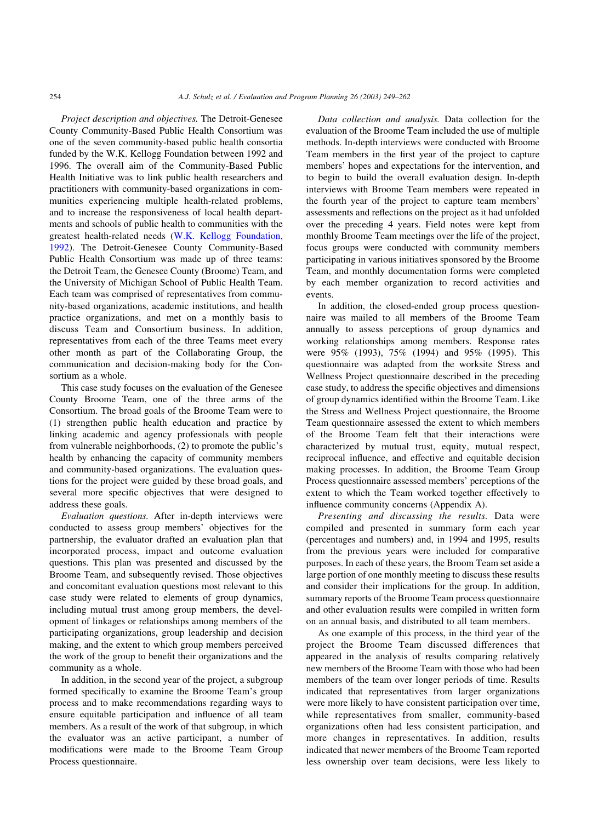Project description and objectives. The Detroit-Genesee County Community-Based Public Health Consortium was one of the seven community-based public health consortia funded by the W.K. Kellogg Foundation between 1992 and 1996. The overall aim of the Community-Based Public Health Initiative was to link public health researchers and practitioners with community-based organizations in communities experiencing multiple health-related problems, and to increase the responsiveness of local health departments and schools of public health to communities with the greatest health-related needs ([W.K. Kellogg Foundation,](#page-41-0) [1992\)](#page-41-0). The Detroit-Genesee County Community-Based Public Health Consortium was made up of three teams: the Detroit Team, the Genesee County (Broome) Team, and the University of Michigan School of Public Health Team. Each team was comprised of representatives from community-based organizations, academic institutions, and health practice organizations, and met on a monthly basis to discuss Team and Consortium business. In addition, representatives from each of the three Teams meet every other month as part of the Collaborating Group, the communication and decision-making body for the Consortium as a whole.

This case study focuses on the evaluation of the Genesee County Broome Team, one of the three arms of the Consortium. The broad goals of the Broome Team were to (1) strengthen public health education and practice by linking academic and agency professionals with people from vulnerable neighborhoods, (2) to promote the public's health by enhancing the capacity of community members and community-based organizations. The evaluation questions for the project were guided by these broad goals, and several more specific objectives that were designed to address these goals.

Evaluation questions. After in-depth interviews were conducted to assess group members' objectives for the partnership, the evaluator drafted an evaluation plan that incorporated process, impact and outcome evaluation questions. This plan was presented and discussed by the Broome Team, and subsequently revised. Those objectives and concomitant evaluation questions most relevant to this case study were related to elements of group dynamics, including mutual trust among group members, the development of linkages or relationships among members of the participating organizations, group leadership and decision making, and the extent to which group members perceived the work of the group to benefit their organizations and the community as a whole.

In addition, in the second year of the project, a subgroup formed specifically to examine the Broome Team's group process and to make recommendations regarding ways to ensure equitable participation and influence of all team members. As a result of the work of that subgroup, in which the evaluator was an active participant, a number of modifications were made to the Broome Team Group Process questionnaire.

Data collection and analysis. Data collection for the evaluation of the Broome Team included the use of multiple methods. In-depth interviews were conducted with Broome Team members in the first year of the project to capture members' hopes and expectations for the intervention, and to begin to build the overall evaluation design. In-depth interviews with Broome Team members were repeated in the fourth year of the project to capture team members' assessments and reflections on the project as it had unfolded over the preceding 4 years. Field notes were kept from monthly Broome Team meetings over the life of the project, focus groups were conducted with community members participating in various initiatives sponsored by the Broome Team, and monthly documentation forms were completed by each member organization to record activities and events.

In addition, the closed-ended group process questionnaire was mailed to all members of the Broome Team annually to assess perceptions of group dynamics and working relationships among members. Response rates were 95% (1993), 75% (1994) and 95% (1995). This questionnaire was adapted from the worksite Stress and Wellness Project questionnaire described in the preceding case study, to address the specific objectives and dimensions of group dynamics identified within the Broome Team. Like the Stress and Wellness Project questionnaire, the Broome Team questionnaire assessed the extent to which members of the Broome Team felt that their interactions were characterized by mutual trust, equity, mutual respect, reciprocal influence, and effective and equitable decision making processes. In addition, the Broome Team Group Process questionnaire assessed members' perceptions of the extent to which the Team worked together effectively to influence community concerns (Appendix A).

Presenting and discussing the results. Data were compiled and presented in summary form each year (percentages and numbers) and, in 1994 and 1995, results from the previous years were included for comparative purposes. In each of these years, the Broom Team set aside a large portion of one monthly meeting to discuss these results and consider their implications for the group. In addition, summary reports of the Broome Team process questionnaire and other evaluation results were compiled in written form on an annual basis, and distributed to all team members.

As one example of this process, in the third year of the project the Broome Team discussed differences that appeared in the analysis of results comparing relatively new members of the Broome Team with those who had been members of the team over longer periods of time. Results indicated that representatives from larger organizations were more likely to have consistent participation over time, while representatives from smaller, community-based organizations often had less consistent participation, and more changes in representatives. In addition, results indicated that newer members of the Broome Team reported less ownership over team decisions, were less likely to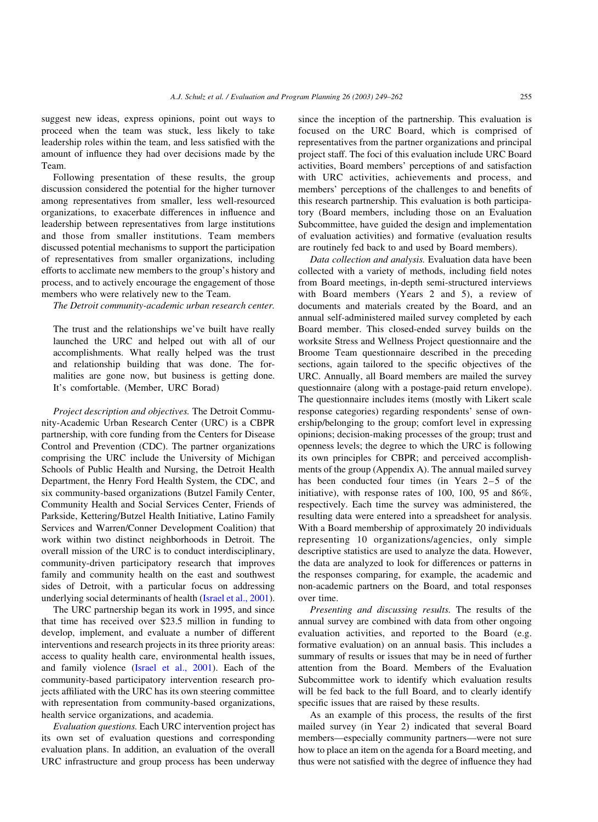suggest new ideas, express opinions, point out ways to proceed when the team was stuck, less likely to take leadership roles within the team, and less satisfied with the amount of influence they had over decisions made by the Team.

Following presentation of these results, the group discussion considered the potential for the higher turnover among representatives from smaller, less well-resourced organizations, to exacerbate differences in influence and leadership between representatives from large institutions and those from smaller institutions. Team members discussed potential mechanisms to support the participation of representatives from smaller organizations, including efforts to acclimate new members to the group's history and process, and to actively encourage the engagement of those members who were relatively new to the Team.

The Detroit community-academic urban research center.

The trust and the relationships we've built have really launched the URC and helped out with all of our accomplishments. What really helped was the trust and relationship building that was done. The formalities are gone now, but business is getting done. It's comfortable. (Member, URC Borad)

Project description and objectives. The Detroit Community-Academic Urban Research Center (URC) is a CBPR partnership, with core funding from the Centers for Disease Control and Prevention (CDC). The partner organizations comprising the URC include the University of Michigan Schools of Public Health and Nursing, the Detroit Health Department, the Henry Ford Health System, the CDC, and six community-based organizations (Butzel Family Center, Community Health and Social Services Center, Friends of Parkside, Kettering/Butzel Health Initiative, Latino Family Services and Warren/Conner Development Coalition) that work within two distinct neighborhoods in Detroit. The overall mission of the URC is to conduct interdisciplinary, community-driven participatory research that improves family and community health on the east and southwest sides of Detroit, with a particular focus on addressing underlying social determinants of health ([Israel et al., 2001\)](#page-40-0).

The URC partnership began its work in 1995, and since that time has received over \$23.5 million in funding to develop, implement, and evaluate a number of different interventions and research projects in its three priority areas: access to quality health care, environmental health issues, and family violence [\(Israel et al., 2001\)](#page-40-0). Each of the community-based participatory intervention research projects affiliated with the URC has its own steering committee with representation from community-based organizations, health service organizations, and academia.

Evaluation questions. Each URC intervention project has its own set of evaluation questions and corresponding evaluation plans. In addition, an evaluation of the overall URC infrastructure and group process has been underway

since the inception of the partnership. This evaluation is focused on the URC Board, which is comprised of representatives from the partner organizations and principal project staff. The foci of this evaluation include URC Board activities, Board members' perceptions of and satisfaction with URC activities, achievements and process, and members' perceptions of the challenges to and benefits of this research partnership. This evaluation is both participatory (Board members, including those on an Evaluation Subcommittee, have guided the design and implementation of evaluation activities) and formative (evaluation results are routinely fed back to and used by Board members).

Data collection and analysis. Evaluation data have been collected with a variety of methods, including field notes from Board meetings, in-depth semi-structured interviews with Board members (Years 2 and 5), a review of documents and materials created by the Board, and an annual self-administered mailed survey completed by each Board member. This closed-ended survey builds on the worksite Stress and Wellness Project questionnaire and the Broome Team questionnaire described in the preceding sections, again tailored to the specific objectives of the URC. Annually, all Board members are mailed the survey questionnaire (along with a postage-paid return envelope). The questionnaire includes items (mostly with Likert scale response categories) regarding respondents' sense of ownership/belonging to the group; comfort level in expressing opinions; decision-making processes of the group; trust and openness levels; the degree to which the URC is following its own principles for CBPR; and perceived accomplishments of the group (Appendix A). The annual mailed survey has been conducted four times (in Years 2–5 of the initiative), with response rates of 100, 100, 95 and 86%, respectively. Each time the survey was administered, the resulting data were entered into a spreadsheet for analysis. With a Board membership of approximately 20 individuals representing 10 organizations/agencies, only simple descriptive statistics are used to analyze the data. However, the data are analyzed to look for differences or patterns in the responses comparing, for example, the academic and non-academic partners on the Board, and total responses over time.

Presenting and discussing results. The results of the annual survey are combined with data from other ongoing evaluation activities, and reported to the Board (e.g. formative evaluation) on an annual basis. This includes a summary of results or issues that may be in need of further attention from the Board. Members of the Evaluation Subcommittee work to identify which evaluation results will be fed back to the full Board, and to clearly identify specific issues that are raised by these results.

As an example of this process, the results of the first mailed survey (in Year 2) indicated that several Board members—especially community partners—were not sure how to place an item on the agenda for a Board meeting, and thus were not satisfied with the degree of influence they had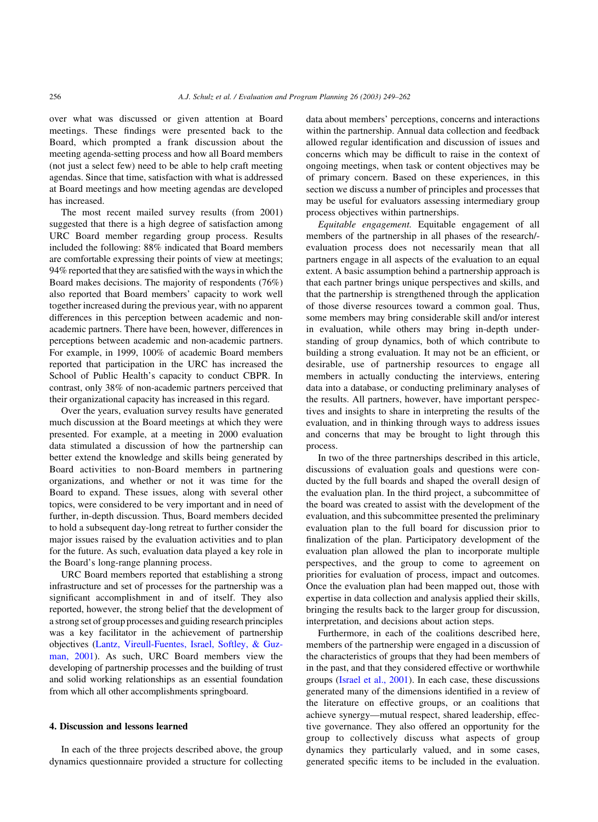over what was discussed or given attention at Board meetings. These findings were presented back to the Board, which prompted a frank discussion about the meeting agenda-setting process and how all Board members (not just a select few) need to be able to help craft meeting agendas. Since that time, satisfaction with what is addressed at Board meetings and how meeting agendas are developed has increased.

The most recent mailed survey results (from 2001) suggested that there is a high degree of satisfaction among URC Board member regarding group process. Results included the following: 88% indicated that Board members are comfortable expressing their points of view at meetings; 94% reported that they are satisfied with the ways in which the Board makes decisions. The majority of respondents (76%) also reported that Board members' capacity to work well together increased during the previous year, with no apparent differences in this perception between academic and nonacademic partners. There have been, however, differences in perceptions between academic and non-academic partners. For example, in 1999, 100% of academic Board members reported that participation in the URC has increased the School of Public Health's capacity to conduct CBPR. In contrast, only 38% of non-academic partners perceived that their organizational capacity has increased in this regard.

Over the years, evaluation survey results have generated much discussion at the Board meetings at which they were presented. For example, at a meeting in 2000 evaluation data stimulated a discussion of how the partnership can better extend the knowledge and skills being generated by Board activities to non-Board members in partnering organizations, and whether or not it was time for the Board to expand. These issues, along with several other topics, were considered to be very important and in need of further, in-depth discussion. Thus, Board members decided to hold a subsequent day-long retreat to further consider the major issues raised by the evaluation activities and to plan for the future. As such, evaluation data played a key role in the Board's long-range planning process.

URC Board members reported that establishing a strong infrastructure and set of processes for the partnership was a significant accomplishment in and of itself. They also reported, however, the strong belief that the development of a strong set of group processes and guiding research principles was a key facilitator in the achievement of partnership objectives ([Lantz, Vireull-Fuentes, Israel, Softley, & Guz](#page-41-0)[man, 2001](#page-41-0)). As such, URC Board members view the developing of partnership processes and the building of trust and solid working relationships as an essential foundation from which all other accomplishments springboard.

#### 4. Discussion and lessons learned

In each of the three projects described above, the group dynamics questionnaire provided a structure for collecting data about members' perceptions, concerns and interactions within the partnership. Annual data collection and feedback allowed regular identification and discussion of issues and concerns which may be difficult to raise in the context of ongoing meetings, when task or content objectives may be of primary concern. Based on these experiences, in this section we discuss a number of principles and processes that may be useful for evaluators assessing intermediary group process objectives within partnerships.

Equitable engagement. Equitable engagement of all members of the partnership in all phases of the research/ evaluation process does not necessarily mean that all partners engage in all aspects of the evaluation to an equal extent. A basic assumption behind a partnership approach is that each partner brings unique perspectives and skills, and that the partnership is strengthened through the application of those diverse resources toward a common goal. Thus, some members may bring considerable skill and/or interest in evaluation, while others may bring in-depth understanding of group dynamics, both of which contribute to building a strong evaluation. It may not be an efficient, or desirable, use of partnership resources to engage all members in actually conducting the interviews, entering data into a database, or conducting preliminary analyses of the results. All partners, however, have important perspectives and insights to share in interpreting the results of the evaluation, and in thinking through ways to address issues and concerns that may be brought to light through this process.

In two of the three partnerships described in this article, discussions of evaluation goals and questions were conducted by the full boards and shaped the overall design of the evaluation plan. In the third project, a subcommittee of the board was created to assist with the development of the evaluation, and this subcommittee presented the preliminary evaluation plan to the full board for discussion prior to finalization of the plan. Participatory development of the evaluation plan allowed the plan to incorporate multiple perspectives, and the group to come to agreement on priorities for evaluation of process, impact and outcomes. Once the evaluation plan had been mapped out, those with expertise in data collection and analysis applied their skills, bringing the results back to the larger group for discussion, interpretation, and decisions about action steps.

Furthermore, in each of the coalitions described here, members of the partnership were engaged in a discussion of the characteristics of groups that they had been members of in the past, and that they considered effective or worthwhile groups [\(Israel et al., 2001\)](#page-40-0). In each case, these discussions generated many of the dimensions identified in a review of the literature on effective groups, or an coalitions that achieve synergy—mutual respect, shared leadership, effective governance. They also offered an opportunity for the group to collectively discuss what aspects of group dynamics they particularly valued, and in some cases, generated specific items to be included in the evaluation.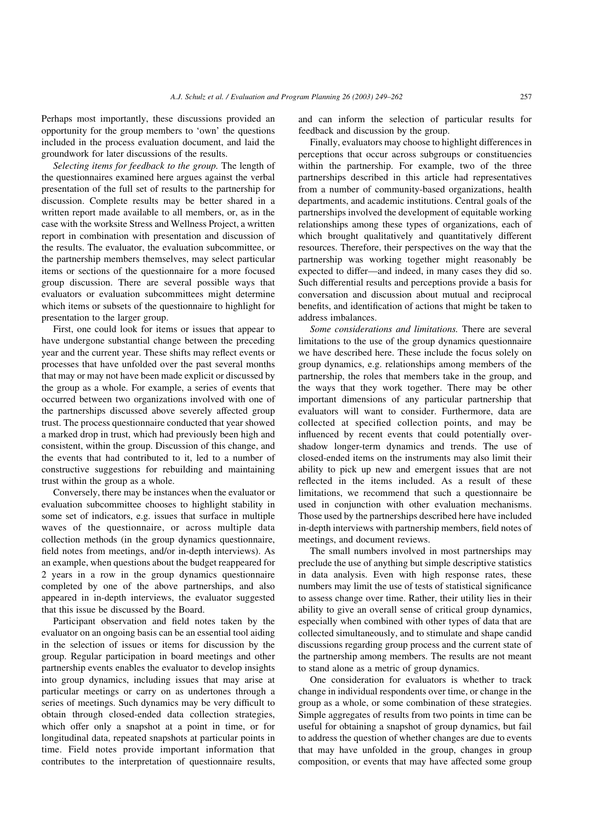Perhaps most importantly, these discussions provided an opportunity for the group members to 'own' the questions included in the process evaluation document, and laid the groundwork for later discussions of the results.

Selecting items for feedback to the group. The length of the questionnaires examined here argues against the verbal presentation of the full set of results to the partnership for discussion. Complete results may be better shared in a written report made available to all members, or, as in the case with the worksite Stress and Wellness Project, a written report in combination with presentation and discussion of the results. The evaluator, the evaluation subcommittee, or the partnership members themselves, may select particular items or sections of the questionnaire for a more focused group discussion. There are several possible ways that evaluators or evaluation subcommittees might determine which items or subsets of the questionnaire to highlight for presentation to the larger group.

First, one could look for items or issues that appear to have undergone substantial change between the preceding year and the current year. These shifts may reflect events or processes that have unfolded over the past several months that may or may not have been made explicit or discussed by the group as a whole. For example, a series of events that occurred between two organizations involved with one of the partnerships discussed above severely affected group trust. The process questionnaire conducted that year showed a marked drop in trust, which had previously been high and consistent, within the group. Discussion of this change, and the events that had contributed to it, led to a number of constructive suggestions for rebuilding and maintaining trust within the group as a whole.

Conversely, there may be instances when the evaluator or evaluation subcommittee chooses to highlight stability in some set of indicators, e.g. issues that surface in multiple waves of the questionnaire, or across multiple data collection methods (in the group dynamics questionnaire, field notes from meetings, and/or in-depth interviews). As an example, when questions about the budget reappeared for 2 years in a row in the group dynamics questionnaire completed by one of the above partnerships, and also appeared in in-depth interviews, the evaluator suggested that this issue be discussed by the Board.

Participant observation and field notes taken by the evaluator on an ongoing basis can be an essential tool aiding in the selection of issues or items for discussion by the group. Regular participation in board meetings and other partnership events enables the evaluator to develop insights into group dynamics, including issues that may arise at particular meetings or carry on as undertones through a series of meetings. Such dynamics may be very difficult to obtain through closed-ended data collection strategies, which offer only a snapshot at a point in time, or for longitudinal data, repeated snapshots at particular points in time. Field notes provide important information that contributes to the interpretation of questionnaire results,

and can inform the selection of particular results for feedback and discussion by the group.

Finally, evaluators may choose to highlight differences in perceptions that occur across subgroups or constituencies within the partnership. For example, two of the three partnerships described in this article had representatives from a number of community-based organizations, health departments, and academic institutions. Central goals of the partnerships involved the development of equitable working relationships among these types of organizations, each of which brought qualitatively and quantitatively different resources. Therefore, their perspectives on the way that the partnership was working together might reasonably be expected to differ—and indeed, in many cases they did so. Such differential results and perceptions provide a basis for conversation and discussion about mutual and reciprocal benefits, and identification of actions that might be taken to address imbalances.

Some considerations and limitations. There are several limitations to the use of the group dynamics questionnaire we have described here. These include the focus solely on group dynamics, e.g. relationships among members of the partnership, the roles that members take in the group, and the ways that they work together. There may be other important dimensions of any particular partnership that evaluators will want to consider. Furthermore, data are collected at specified collection points, and may be influenced by recent events that could potentially overshadow longer-term dynamics and trends. The use of closed-ended items on the instruments may also limit their ability to pick up new and emergent issues that are not reflected in the items included. As a result of these limitations, we recommend that such a questionnaire be used in conjunction with other evaluation mechanisms. Those used by the partnerships described here have included in-depth interviews with partnership members, field notes of meetings, and document reviews.

The small numbers involved in most partnerships may preclude the use of anything but simple descriptive statistics in data analysis. Even with high response rates, these numbers may limit the use of tests of statistical significance to assess change over time. Rather, their utility lies in their ability to give an overall sense of critical group dynamics, especially when combined with other types of data that are collected simultaneously, and to stimulate and shape candid discussions regarding group process and the current state of the partnership among members. The results are not meant to stand alone as a metric of group dynamics.

One consideration for evaluators is whether to track change in individual respondents over time, or change in the group as a whole, or some combination of these strategies. Simple aggregates of results from two points in time can be useful for obtaining a snapshot of group dynamics, but fail to address the question of whether changes are due to events that may have unfolded in the group, changes in group composition, or events that may have affected some group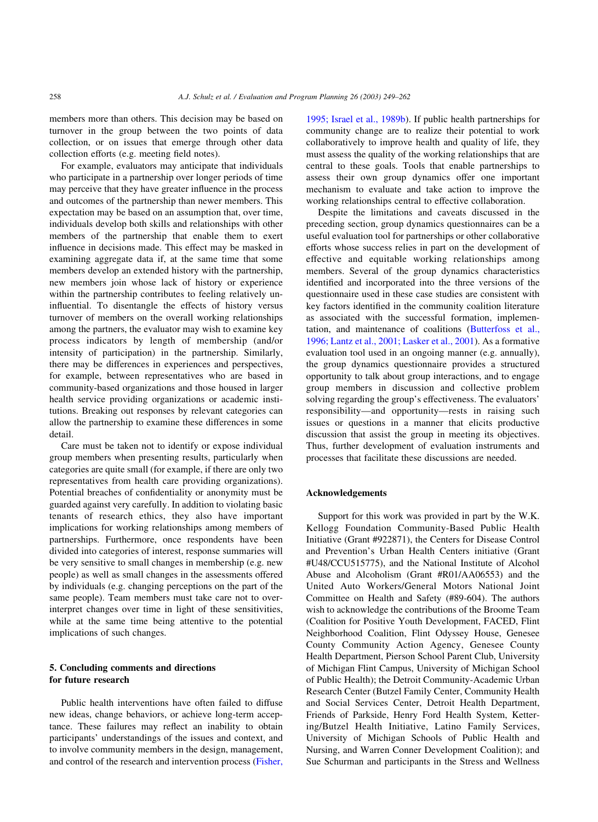members more than others. This decision may be based on turnover in the group between the two points of data collection, or on issues that emerge through other data collection efforts (e.g. meeting field notes).

For example, evaluators may anticipate that individuals who participate in a partnership over longer periods of time may perceive that they have greater influence in the process and outcomes of the partnership than newer members. This expectation may be based on an assumption that, over time, individuals develop both skills and relationships with other members of the partnership that enable them to exert influence in decisions made. This effect may be masked in examining aggregate data if, at the same time that some members develop an extended history with the partnership, new members join whose lack of history or experience within the partnership contributes to feeling relatively uninfluential. To disentangle the effects of history versus turnover of members on the overall working relationships among the partners, the evaluator may wish to examine key process indicators by length of membership (and/or intensity of participation) in the partnership. Similarly, there may be differences in experiences and perspectives, for example, between representatives who are based in community-based organizations and those housed in larger health service providing organizations or academic institutions. Breaking out responses by relevant categories can allow the partnership to examine these differences in some detail.

Care must be taken not to identify or expose individual group members when presenting results, particularly when categories are quite small (for example, if there are only two representatives from health care providing organizations). Potential breaches of confidentiality or anonymity must be guarded against very carefully. In addition to violating basic tenants of research ethics, they also have important implications for working relationships among members of partnerships. Furthermore, once respondents have been divided into categories of interest, response summaries will be very sensitive to small changes in membership (e.g. new people) as well as small changes in the assessments offered by individuals (e.g. changing perceptions on the part of the same people). Team members must take care not to overinterpret changes over time in light of these sensitivities, while at the same time being attentive to the potential implications of such changes.

#### 5. Concluding comments and directions for future research

Public health interventions have often failed to diffuse new ideas, change behaviors, or achieve long-term acceptance. These failures may reflect an inability to obtain participants' understandings of the issues and context, and to involve community members in the design, management, and control of the research and intervention process [\(Fisher,](#page-40-0)

[1995; Israel et al., 1989b](#page-40-0)). If public health partnerships for community change are to realize their potential to work collaboratively to improve health and quality of life, they must assess the quality of the working relationships that are central to these goals. Tools that enable partnerships to assess their own group dynamics offer one important mechanism to evaluate and take action to improve the working relationships central to effective collaboration.

Despite the limitations and caveats discussed in the preceding section, group dynamics questionnaires can be a useful evaluation tool for partnerships or other collaborative efforts whose success relies in part on the development of effective and equitable working relationships among members. Several of the group dynamics characteristics identified and incorporated into the three versions of the questionnaire used in these case studies are consistent with key factors identified in the community coalition literature as associated with the successful formation, implemen-tation, and maintenance of coalitions [\(Butterfoss et al.,](#page-40-0) [1996; Lantz et al., 2001; Lasker et al., 2001\)](#page-40-0). As a formative evaluation tool used in an ongoing manner (e.g. annually), the group dynamics questionnaire provides a structured opportunity to talk about group interactions, and to engage group members in discussion and collective problem solving regarding the group's effectiveness. The evaluators' responsibility—and opportunity—rests in raising such issues or questions in a manner that elicits productive discussion that assist the group in meeting its objectives. Thus, further development of evaluation instruments and processes that facilitate these discussions are needed.

#### Acknowledgements

Support for this work was provided in part by the W.K. Kellogg Foundation Community-Based Public Health Initiative (Grant #922871), the Centers for Disease Control and Prevention's Urban Health Centers initiative (Grant #U48/CCU515775), and the National Institute of Alcohol Abuse and Alcoholism (Grant #R01/AA06553) and the United Auto Workers/General Motors National Joint Committee on Health and Safety (#89-604). The authors wish to acknowledge the contributions of the Broome Team (Coalition for Positive Youth Development, FACED, Flint Neighborhood Coalition, Flint Odyssey House, Genesee County Community Action Agency, Genesee County Health Department, Pierson School Parent Club, University of Michigan Flint Campus, University of Michigan School of Public Health); the Detroit Community-Academic Urban Research Center (Butzel Family Center, Community Health and Social Services Center, Detroit Health Department, Friends of Parkside, Henry Ford Health System, Kettering/Butzel Health Initiative, Latino Family Services, University of Michigan Schools of Public Health and Nursing, and Warren Conner Development Coalition); and Sue Schurman and participants in the Stress and Wellness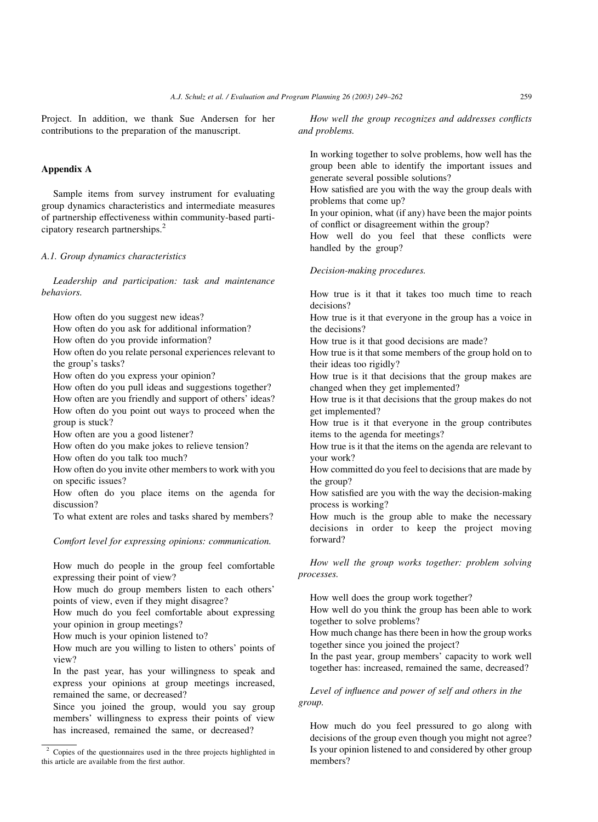Project. In addition, we thank Sue Andersen for her contributions to the preparation of the manuscript.

#### Appendix A

Sample items from survey instrument for evaluating group dynamics characteristics and intermediate measures of partnership effectiveness within community-based participatory research partnerships.<sup>2</sup>

#### A.1. Group dynamics characteristics

Leadership and participation: task and maintenance behaviors.

How often do you suggest new ideas?

How often do you ask for additional information?

How often do you provide information?

How often do you relate personal experiences relevant to the group's tasks?

How often do you express your opinion?

How often do you pull ideas and suggestions together? How often are you friendly and support of others' ideas? How often do you point out ways to proceed when the group is stuck?

How often are you a good listener?

How often do you make jokes to relieve tension?

How often do you talk too much?

How often do you invite other members to work with you on specific issues?

How often do you place items on the agenda for discussion?

To what extent are roles and tasks shared by members?

Comfort level for expressing opinions: communication.

How much do people in the group feel comfortable expressing their point of view?

How much do group members listen to each others' points of view, even if they might disagree?

How much do you feel comfortable about expressing your opinion in group meetings?

How much is your opinion listened to?

How much are you willing to listen to others' points of view?

In the past year, has your willingness to speak and express your opinions at group meetings increased, remained the same, or decreased?

Since you joined the group, would you say group members' willingness to express their points of view has increased, remained the same, or decreased?

How well the group recognizes and addresses conflicts and problems.

In working together to solve problems, how well has the group been able to identify the important issues and generate several possible solutions?

How satisfied are you with the way the group deals with problems that come up?

In your opinion, what (if any) have been the major points of conflict or disagreement within the group?

How well do you feel that these conflicts were handled by the group?

#### Decision-making procedures.

How true is it that it takes too much time to reach decisions?

How true is it that everyone in the group has a voice in the decisions?

How true is it that good decisions are made?

How true is it that some members of the group hold on to their ideas too rigidly?

How true is it that decisions that the group makes are changed when they get implemented?

How true is it that decisions that the group makes do not get implemented?

How true is it that everyone in the group contributes items to the agenda for meetings?

How true is it that the items on the agenda are relevant to your work?

How committed do you feel to decisions that are made by the group?

How satisfied are you with the way the decision-making process is working?

How much is the group able to make the necessary decisions in order to keep the project moving forward?

How well the group works together: problem solving processes.

How well does the group work together?

How well do you think the group has been able to work together to solve problems?

How much change has there been in how the group works together since you joined the project?

In the past year, group members' capacity to work well together has: increased, remained the same, decreased?

Level of influence and power of self and others in the group.

How much do you feel pressured to go along with decisions of the group even though you might not agree? Is your opinion listened to and considered by other group members?

<sup>&</sup>lt;sup>2</sup> Copies of the questionnaires used in the three projects highlighted in this article are available from the first author.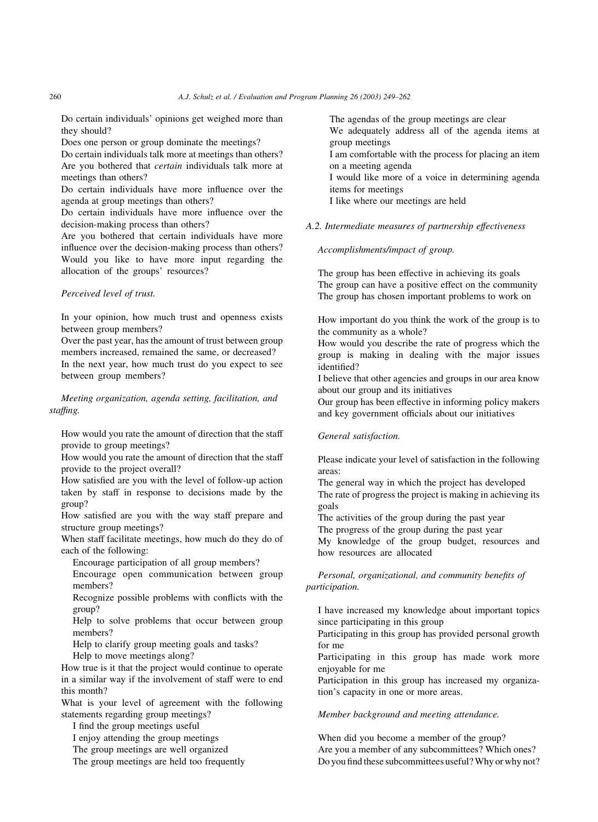Do certain individuals' opinions get weighed more than they should?

Does one person or group dominate the meetings?

Do certain individuals talk more at meetings than others? Are you bothered that certain individuals talk more at meetings than others?

Do certain individuals have more influence over the agenda at group meetings than others?

Do certain individuals have more influence over the decision-making process than others?

Are you bothered that certain individuals have more influence over the decision-making process than others? Would you like to have more input regarding the allocation of the groups' resources?

### Perceived level of trust.

In your opinion, how much trust and openness exists between group members?

Over the past year, has the amount of trust between group members increased, remained the same, or decreased? In the next year, how much trust do you expect to see between group members?

Meeting organization, agenda setting, facilitation, and staffing.

How would you rate the amount of direction that the staff provide to group meetings?

How would you rate the amount of direction that the staff provide to the project overall?

How satisfied are you with the level of follow-up action taken by staff in response to decisions made by the group?

How satisfied are you with the way staff prepare and structure group meetings?

When staff facilitate meetings, how much do they do of each of the following:

Encourage participation of all group members?

Encourage open communication between group members?

Recognize possible problems with conflicts with the group?

Help to solve problems that occur between group members?

Help to clarify group meeting goals and tasks? Help to move meetings along?

How true is it that the project would continue to operate in a similar way if the involvement of staff were to end this month?

What is your level of agreement with the following statements regarding group meetings?

I find the group meetings useful

I enjoy attending the group meetings

The group meetings are well organized

The group meetings are held too frequently

The agendas of the group meetings are clear We adequately address all of the agenda items at group meetings

I am comfortable with the process for placing an item on a meeting agenda

I would like more of a voice in determining agenda items for meetings

I like where our meetings are held

A.2. Intermediate measures of partnership effectiveness

#### Accomplishments/impact of group.

The group has been effective in achieving its goals The group can have a positive effect on the community The group has chosen important problems to work on

How important do you think the work of the group is to the community as a whole?

How would you describe the rate of progress which the group is making in dealing with the major issues identified?

I believe that other agencies and groups in our area know about our group and its initiatives

Our group has been effective in informing policy makers and key government officials about our initiatives

#### General satisfaction.

Please indicate your level of satisfaction in the following areas:

The general way in which the project has developed The rate of progress the project is making in achieving its goals

The activities of the group during the past year

The progress of the group during the past year

My knowledge of the group budget, resources and how resources are allocated

Personal, organizational, and community benefits of participation.

I have increased my knowledge about important topics since participating in this group

Participating in this group has provided personal growth for me

Participating in this group has made work more enjoyable for me

Participation in this group has increased my organization's capacity in one or more areas.

#### Member background and meeting attendance.

When did you become a member of the group? Are you a member of any subcommittees? Which ones? Do you find these subcommittees useful? Why or why not?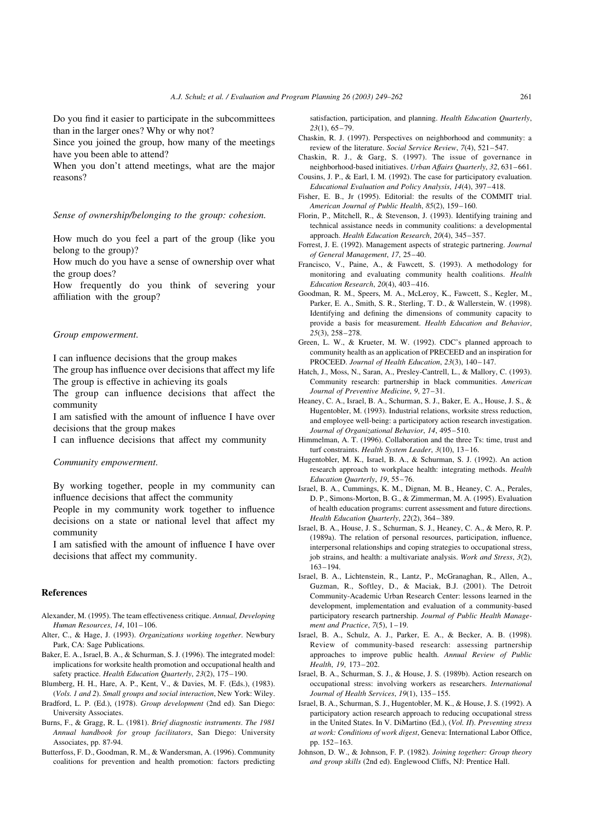<span id="page-40-0"></span>Do you find it easier to participate in the subcommittees than in the larger ones? Why or why not?

Since you joined the group, how many of the meetings have you been able to attend?

When you don't attend meetings, what are the major reasons?

Sense of ownership/belonging to the group: cohesion.

How much do you feel a part of the group (like you belong to the group)?

How much do you have a sense of ownership over what the group does?

How frequently do you think of severing your affiliation with the group?

#### Group empowerment.

I can influence decisions that the group makes

The group has influence over decisions that affect my life The group is effective in achieving its goals

The group can influence decisions that affect the community

I am satisfied with the amount of influence I have over decisions that the group makes

I can influence decisions that affect my community

#### Community empowerment.

By working together, people in my community can influence decisions that affect the community

People in my community work together to influence decisions on a state or national level that affect my community

I am satisfied with the amount of influence I have over decisions that affect my community.

#### References

- Alexander, M. (1995). The team effectiveness critique. Annual, Developing Human Resources, 14, 101–106.
- Alter, C., & Hage, J. (1993). Organizations working together. Newbury Park, CA: Sage Publications.
- Baker, E. A., Israel, B. A., & Schurman, S. J. (1996). The integrated model: implications for worksite health promotion and occupational health and safety practice. Health Education Quarterly, 23(2), 175-190.
- Blumberg, H. H., Hare, A. P., Kent, V., & Davies, M. F. (Eds.), (1983). (Vols. 1 and 2). Small groups and social interaction, New York: Wiley.
- Bradford, L. P. (Ed.), (1978). Group development (2nd ed). San Diego: University Associates.
- Burns, F., & Gragg, R. L. (1981). Brief diagnostic instruments. The 1981 Annual handbook for group facilitators, San Diego: University Associates, pp. 87-94.
- Butterfoss, F. D., Goodman, R. M., & Wandersman, A. (1996). Community coalitions for prevention and health promotion: factors predicting

satisfaction, participation, and planning. Health Education Quarterly, 23(1), 65–79.

- Chaskin, R. J. (1997). Perspectives on neighborhood and community: a review of the literature. Social Service Review, 7(4), 521–547.
- Chaskin, R. J., & Garg, S. (1997). The issue of governance in neighborhood-based initiatives. Urban Affairs Quarterly, 32, 631–661.
- Cousins, J. P., & Earl, I. M. (1992). The case for participatory evaluation. Educational Evaluation and Policy Analysis, 14(4), 397–418.
- Fisher, E. B., Jr (1995). Editorial: the results of the COMMIT trial. American Journal of Public Health, 85(2), 159–160.
- Florin, P., Mitchell, R., & Stevenson, J. (1993). Identifying training and technical assistance needs in community coalitions: a developmental approach. Health Education Research, 20(4), 345-357.
- Forrest, J. E. (1992). Management aspects of strategic partnering. Journal of General Management, 17, 25–40.
- Francisco, V., Paine, A., & Fawcett, S. (1993). A methodology for monitoring and evaluating community health coalitions. Health Education Research, 20(4), 403–416.
- Goodman, R. M., Speers, M. A., McLeroy, K., Fawcett, S., Kegler, M., Parker, E. A., Smith, S. R., Sterling, T. D., & Wallerstein, W. (1998). Identifying and defining the dimensions of community capacity to provide a basis for measurement. Health Education and Behavior, 25(3), 258–278.
- Green, L. W., & Krueter, M. W. (1992). CDC's planned approach to community health as an application of PRECEED and an inspiration for PROCEED. Journal of Health Education, 23(3), 140–147.
- Hatch, J., Moss, N., Saran, A., Presley-Cantrell, L., & Mallory, C. (1993). Community research: partnership in black communities. American Journal of Preventive Medicine, 9, 27–31.
- Heaney, C. A., Israel, B. A., Schurman, S. J., Baker, E. A., House, J. S., & Hugentobler, M. (1993). Industrial relations, worksite stress reduction, and employee well-being: a participatory action research investigation. Journal of Organizational Behavior, 14, 495–510.
- Himmelman, A. T. (1996). Collaboration and the three Ts: time, trust and turf constraints. Health System Leader, 3(10), 13–16.
- Hugentobler, M. K., Israel, B. A., & Schurman, S. J. (1992). An action research approach to workplace health: integrating methods. Health Education Quarterly, 19, 55–76.
- Israel, B. A., Cummings, K. M., Dignan, M. B., Heaney, C. A., Perales, D. P., Simons-Morton, B. G., & Zimmerman, M. A. (1995). Evaluation of health education programs: current assessment and future directions. Health Education Quarterly, 22(2), 364–389.
- Israel, B. A., House, J. S., Schurman, S. J., Heaney, C. A., & Mero, R. P. (1989a). The relation of personal resources, participation, influence, interpersonal relationships and coping strategies to occupational stress, job strains, and health: a multivariate analysis. Work and Stress, 3(2), 163–194.
- Israel, B. A., Lichtenstein, R., Lantz, P., McGranaghan, R., Allen, A., Guzman, R., Softley, D., & Maciak, B.J. (2001). The Detroit Community-Academic Urban Research Center: lessons learned in the development, implementation and evaluation of a community-based participatory research partnership. Journal of Public Health Management and Practice, 7(5), 1-19.
- Israel, B. A., Schulz, A. J., Parker, E. A., & Becker, A. B. (1998). Review of community-based research: assessing partnership approaches to improve public health. Annual Review of Public Health, 19, 173–202.
- Israel, B. A., Schurman, S. J., & House, J. S. (1989b). Action research on occupational stress: involving workers as researchers. International Journal of Health Services, 19(1), 135–155.
- Israel, B. A., Schurman, S. J., Hugentobler, M. K., & House, J. S. (1992). A participatory action research approach to reducing occupational stress in the United States. In V. DiMartino (Ed.), (Vol. II). Preventing stress at work: Conditions of work digest, Geneva: International Labor Office, pp. 152–163.
- Johnson, D. W., & Johnson, F. P. (1982). Joining together: Group theory and group skills (2nd ed). Englewood Cliffs, NJ: Prentice Hall.